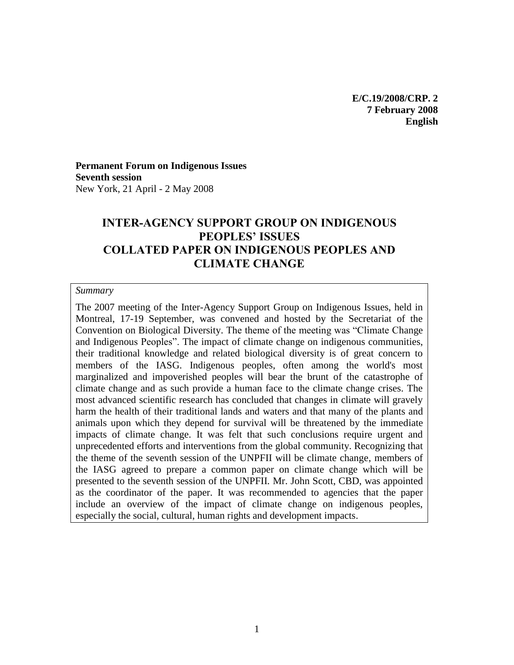**E/C.19/2008/CRP. 2 7 February 2008 English** 

**Permanent Forum on Indigenous Issues Seventh session** New York, 21 April - 2 May 2008

## **INTER-AGENCY SUPPORT GROUP ON INDIGENOUS PEOPLES' ISSUES COLLATED PAPER ON INDIGENOUS PEOPLES AND CLIMATE CHANGE**

#### *Summary*

The 2007 meeting of the Inter-Agency Support Group on Indigenous Issues, held in Montreal, 17-19 September, was convened and hosted by the Secretariat of the Convention on Biological Diversity. The theme of the meeting was "Climate Change and Indigenous Peoples". The impact of climate change on indigenous communities, their traditional knowledge and related biological diversity is of great concern to members of the IASG. Indigenous peoples, often among the world's most marginalized and impoverished peoples will bear the brunt of the catastrophe of climate change and as such provide a human face to the climate change crises. The most advanced scientific research has concluded that changes in climate will gravely harm the health of their traditional lands and waters and that many of the plants and animals upon which they depend for survival will be threatened by the immediate impacts of climate change. It was felt that such conclusions require urgent and unprecedented efforts and interventions from the global community. Recognizing that the theme of the seventh session of the UNPFII will be climate change, members of the IASG agreed to prepare a common paper on climate change which will be presented to the seventh session of the UNPFII. Mr. John Scott, CBD, was appointed as the coordinator of the paper. It was recommended to agencies that the paper include an overview of the impact of climate change on indigenous peoples, especially the social, cultural, human rights and development impacts.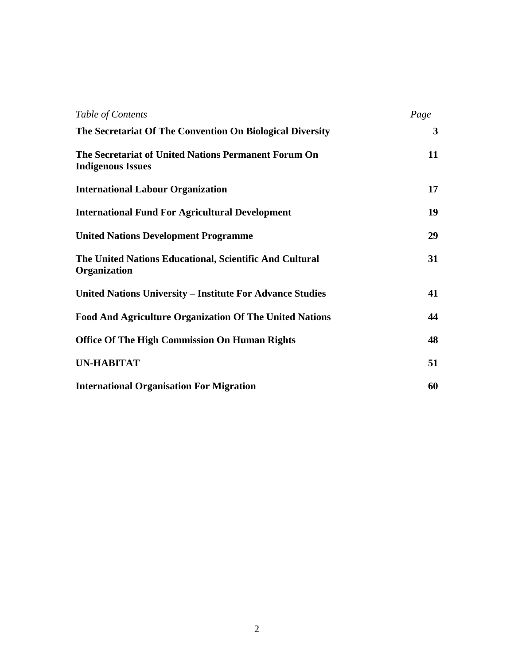| Table of Contents                                                                | Page         |
|----------------------------------------------------------------------------------|--------------|
| The Secretariat Of The Convention On Biological Diversity                        | $\mathbf{3}$ |
| The Secretariat of United Nations Permanent Forum On<br><b>Indigenous Issues</b> | 11           |
| <b>International Labour Organization</b>                                         | 17           |
| <b>International Fund For Agricultural Development</b>                           | 19           |
| <b>United Nations Development Programme</b>                                      | 29           |
| The United Nations Educational, Scientific And Cultural<br><b>Organization</b>   | 31           |
| United Nations University – Institute For Advance Studies                        | 41           |
| <b>Food And Agriculture Organization Of The United Nations</b>                   | 44           |
| <b>Office Of The High Commission On Human Rights</b>                             | 48           |
| <b>UN-HABITAT</b>                                                                | 51           |
| <b>International Organisation For Migration</b>                                  | 60           |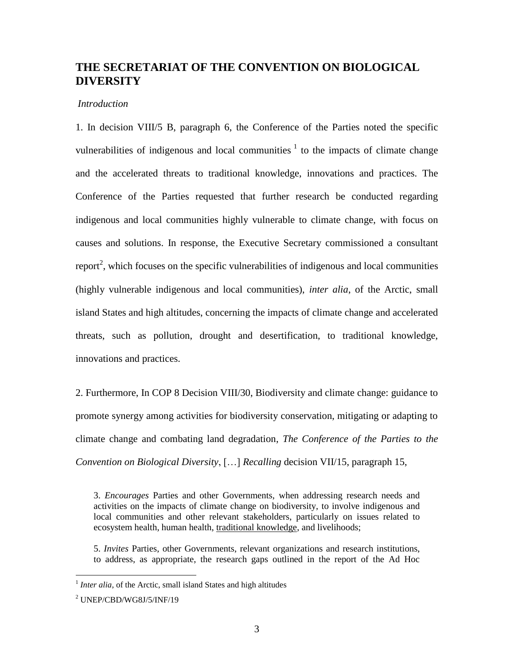## **THE SECRETARIAT OF THE CONVENTION ON BIOLOGICAL DIVERSITY**

#### *Introduction*

1. In decision VIII/5 B, paragraph 6, the Conference of the Parties noted the specific vulnerabilities of indigenous and local communities  $\frac{1}{1}$  to the impacts of climate change and the accelerated threats to traditional knowledge, innovations and practices. The Conference of the Parties requested that further research be conducted regarding indigenous and local communities highly vulnerable to climate change, with focus on causes and solutions. In response, the Executive Secretary commissioned a consultant report<sup>2</sup>, which focuses on the specific vulnerabilities of indigenous and local communities (highly vulnerable indigenous and local communities), *inter alia*, of the Arctic, small island States and high altitudes, concerning the impacts of climate change and accelerated threats, such as pollution, drought and desertification, to traditional knowledge, innovations and practices.

2. Furthermore, In COP 8 Decision VIII/30, Biodiversity and climate change: guidance to promote synergy among activities for biodiversity conservation, mitigating or adapting to climate change and combating land degradation, *The Conference of the Parties to the Convention on Biological Diversity*, […] *Recalling* decision VII/15, paragraph 15,

3. *Encourages* Parties and other Governments, when addressing research needs and activities on the impacts of climate change on biodiversity, to involve indigenous and local communities and other relevant stakeholders, particularly on issues related to ecosystem health, human health, traditional knowledge, and livelihoods;

5. *Invites* Parties, other Governments, relevant organizations and research institutions, to address, as appropriate, the research gaps outlined in the report of the Ad Hoc

<sup>&</sup>lt;sup>1</sup> Inter alia, of the Arctic, small island States and high altitudes

<sup>2</sup> UNEP/CBD/WG8J/5/INF/19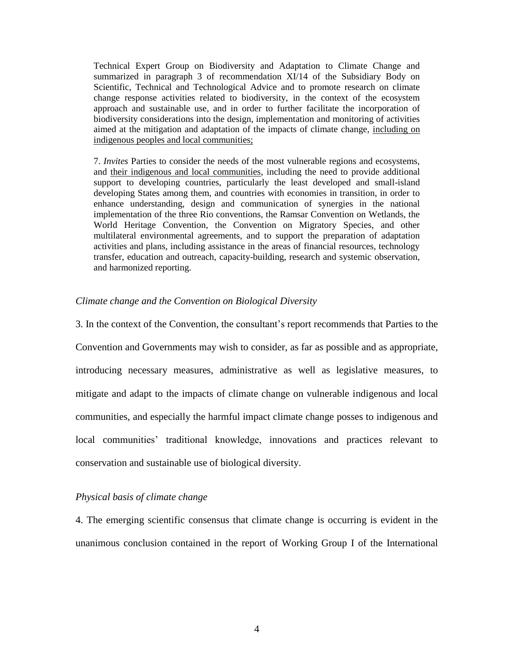Technical Expert Group on Biodiversity and Adaptation to Climate Change and summarized in paragraph 3 of recommendation XI/14 of the Subsidiary Body on Scientific, Technical and Technological Advice and to promote research on climate change response activities related to biodiversity, in the context of the ecosystem approach and sustainable use, and in order to further facilitate the incorporation of biodiversity considerations into the design, implementation and monitoring of activities aimed at the mitigation and adaptation of the impacts of climate change, including on indigenous peoples and local communities;

7. *Invites* Parties to consider the needs of the most vulnerable regions and ecosystems, and their indigenous and local communities, including the need to provide additional support to developing countries, particularly the least developed and small-island developing States among them, and countries with economies in transition, in order to enhance understanding, design and communication of synergies in the national implementation of the three Rio conventions, the Ramsar Convention on Wetlands, the World Heritage Convention, the Convention on Migratory Species, and other multilateral environmental agreements, and to support the preparation of adaptation activities and plans, including assistance in the areas of financial resources, technology transfer, education and outreach, capacity-building, research and systemic observation, and harmonized reporting.

#### *Climate change and the Convention on Biological Diversity*

3. In the context of the Convention, the consultant's report recommends that Parties to the Convention and Governments may wish to consider, as far as possible and as appropriate, introducing necessary measures, administrative as well as legislative measures, to mitigate and adapt to the impacts of climate change on vulnerable indigenous and local communities, and especially the harmful impact climate change posses to indigenous and local communities' traditional knowledge, innovations and practices relevant to conservation and sustainable use of biological diversity.

#### *Physical basis of climate change*

4. The emerging scientific consensus that climate change is occurring is evident in the unanimous conclusion contained in the report of Working Group I of the International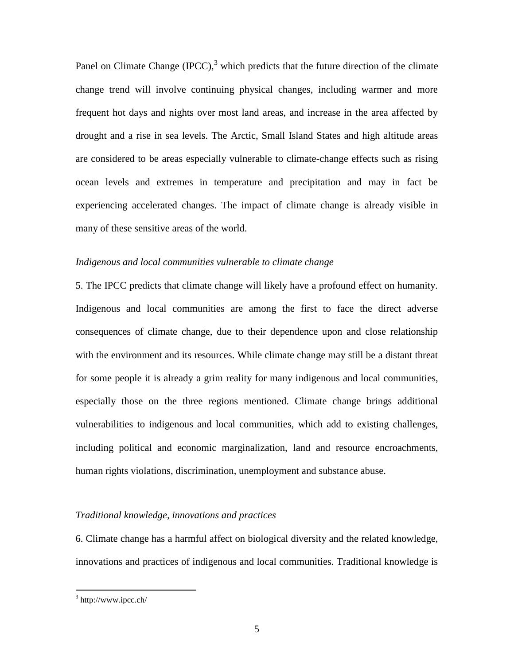Panel on Climate Change (IPCC),<sup>3</sup> which predicts that the future direction of the climate change trend will involve continuing physical changes, including warmer and more frequent hot days and nights over most land areas, and increase in the area affected by drought and a rise in sea levels. The Arctic, Small Island States and high altitude areas are considered to be areas especially vulnerable to climate-change effects such as rising ocean levels and extremes in temperature and precipitation and may in fact be experiencing accelerated changes. The impact of climate change is already visible in many of these sensitive areas of the world.

#### *Indigenous and local communities vulnerable to climate change*

5. The IPCC predicts that climate change will likely have a profound effect on humanity. Indigenous and local communities are among the first to face the direct adverse consequences of climate change, due to their dependence upon and close relationship with the environment and its resources. While climate change may still be a distant threat for some people it is already a grim reality for many indigenous and local communities, especially those on the three regions mentioned. Climate change brings additional vulnerabilities to indigenous and local communities, which add to existing challenges, including political and economic marginalization, land and resource encroachments, human rights violations, discrimination, unemployment and substance abuse.

#### *Traditional knowledge, innovations and practices*

6. Climate change has a harmful affect on biological diversity and the related knowledge, innovations and practices of indigenous and local communities. Traditional knowledge is

 $3$  http://www.ipcc.ch/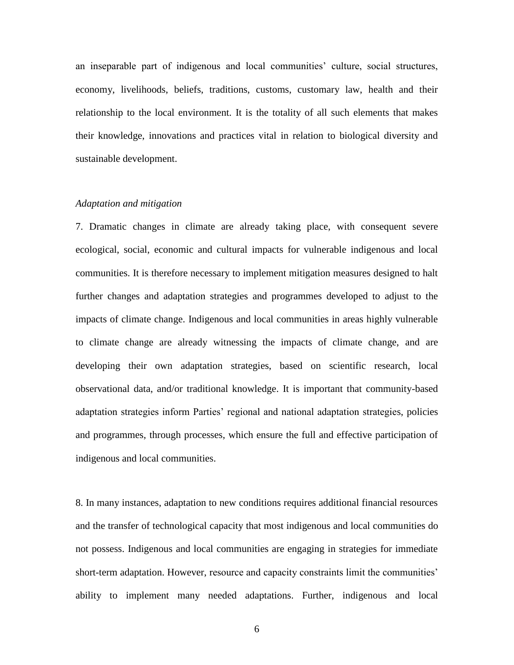an inseparable part of indigenous and local communities' culture, social structures, economy, livelihoods, beliefs, traditions, customs, customary law, health and their relationship to the local environment. It is the totality of all such elements that makes their knowledge, innovations and practices vital in relation to biological diversity and sustainable development.

#### *Adaptation and mitigation*

7. Dramatic changes in climate are already taking place, with consequent severe ecological, social, economic and cultural impacts for vulnerable indigenous and local communities. It is therefore necessary to implement mitigation measures designed to halt further changes and adaptation strategies and programmes developed to adjust to the impacts of climate change. Indigenous and local communities in areas highly vulnerable to climate change are already witnessing the impacts of climate change, and are developing their own adaptation strategies, based on scientific research, local observational data, and/or traditional knowledge. It is important that community-based adaptation strategies inform Parties' regional and national adaptation strategies, policies and programmes, through processes, which ensure the full and effective participation of indigenous and local communities.

8. In many instances, adaptation to new conditions requires additional financial resources and the transfer of technological capacity that most indigenous and local communities do not possess. Indigenous and local communities are engaging in strategies for immediate short-term adaptation. However, resource and capacity constraints limit the communities' ability to implement many needed adaptations. Further, indigenous and local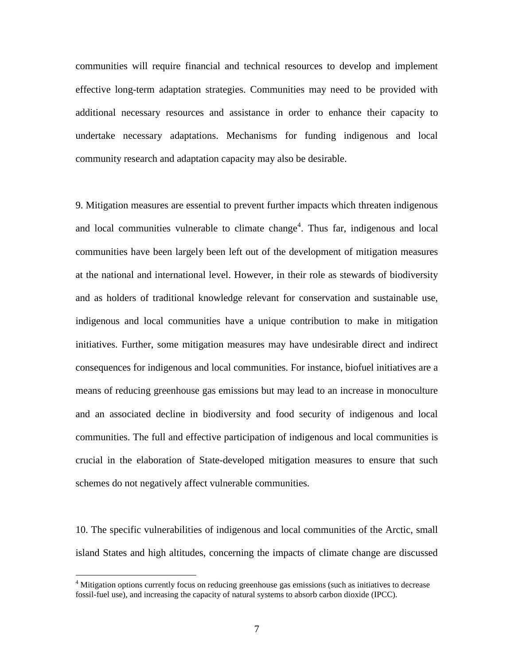communities will require financial and technical resources to develop and implement effective long-term adaptation strategies. Communities may need to be provided with additional necessary resources and assistance in order to enhance their capacity to undertake necessary adaptations. Mechanisms for funding indigenous and local community research and adaptation capacity may also be desirable.

9. Mitigation measures are essential to prevent further impacts which threaten indigenous and local communities vulnerable to climate change<sup>4</sup>. Thus far, indigenous and local communities have been largely been left out of the development of mitigation measures at the national and international level. However, in their role as stewards of biodiversity and as holders of traditional knowledge relevant for conservation and sustainable use, indigenous and local communities have a unique contribution to make in mitigation initiatives. Further, some mitigation measures may have undesirable direct and indirect consequences for indigenous and local communities. For instance, biofuel initiatives are a means of reducing greenhouse gas emissions but may lead to an increase in monoculture and an associated decline in biodiversity and food security of indigenous and local communities. The full and effective participation of indigenous and local communities is crucial in the elaboration of State-developed mitigation measures to ensure that such schemes do not negatively affect vulnerable communities.

10. The specific vulnerabilities of indigenous and local communities of the Arctic, small island States and high altitudes, concerning the impacts of climate change are discussed

<sup>&</sup>lt;sup>4</sup> Mitigation options currently focus on reducing greenhouse gas emissions (such as initiatives to decrease fossil-fuel use), and increasing the capacity of natural systems to absorb carbon dioxide (IPCC).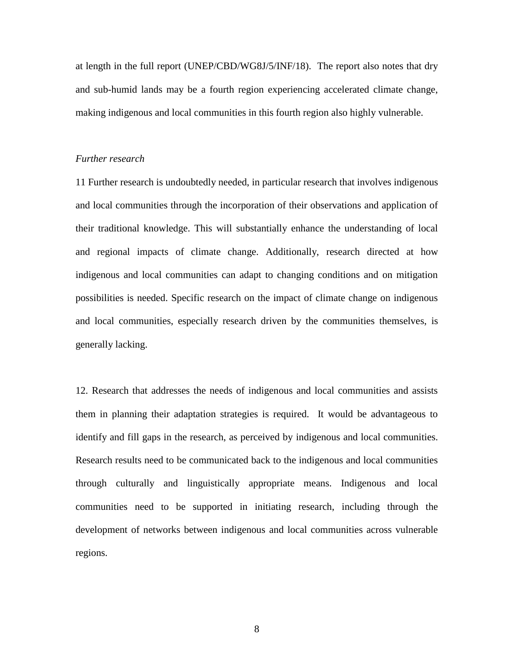at length in the full report (UNEP/CBD/WG8J/5/INF/18). The report also notes that dry and sub-humid lands may be a fourth region experiencing accelerated climate change, making indigenous and local communities in this fourth region also highly vulnerable.

#### *Further research*

11 Further research is undoubtedly needed, in particular research that involves indigenous and local communities through the incorporation of their observations and application of their traditional knowledge. This will substantially enhance the understanding of local and regional impacts of climate change. Additionally, research directed at how indigenous and local communities can adapt to changing conditions and on mitigation possibilities is needed. Specific research on the impact of climate change on indigenous and local communities, especially research driven by the communities themselves, is generally lacking.

12. Research that addresses the needs of indigenous and local communities and assists them in planning their adaptation strategies is required. It would be advantageous to identify and fill gaps in the research, as perceived by indigenous and local communities. Research results need to be communicated back to the indigenous and local communities through culturally and linguistically appropriate means. Indigenous and local communities need to be supported in initiating research, including through the development of networks between indigenous and local communities across vulnerable regions.

8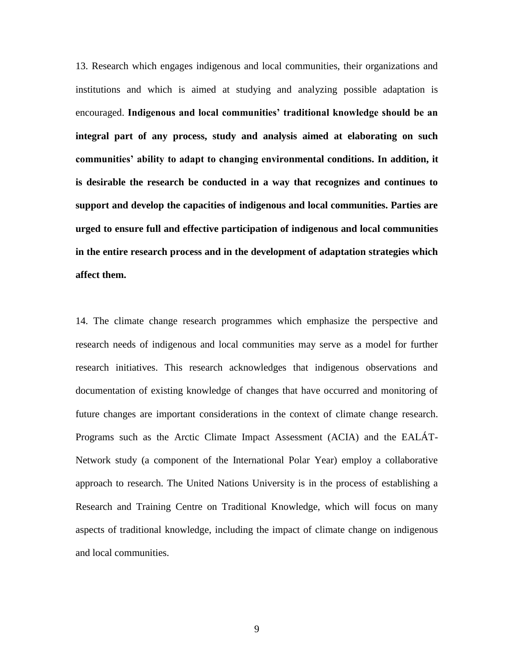13. Research which engages indigenous and local communities, their organizations and institutions and which is aimed at studying and analyzing possible adaptation is encouraged. **Indigenous and local communities' traditional knowledge should be an integral part of any process, study and analysis aimed at elaborating on such communities' ability to adapt to changing environmental conditions. In addition, it is desirable the research be conducted in a way that recognizes and continues to support and develop the capacities of indigenous and local communities. Parties are urged to ensure full and effective participation of indigenous and local communities in the entire research process and in the development of adaptation strategies which affect them.** 

14. The climate change research programmes which emphasize the perspective and research needs of indigenous and local communities may serve as a model for further research initiatives. This research acknowledges that indigenous observations and documentation of existing knowledge of changes that have occurred and monitoring of future changes are important considerations in the context of climate change research. Programs such as the Arctic Climate Impact Assessment (ACIA) and the EALÁT-Network study (a component of the International Polar Year) employ a collaborative approach to research. The United Nations University is in the process of establishing a Research and Training Centre on Traditional Knowledge, which will focus on many aspects of traditional knowledge, including the impact of climate change on indigenous and local communities.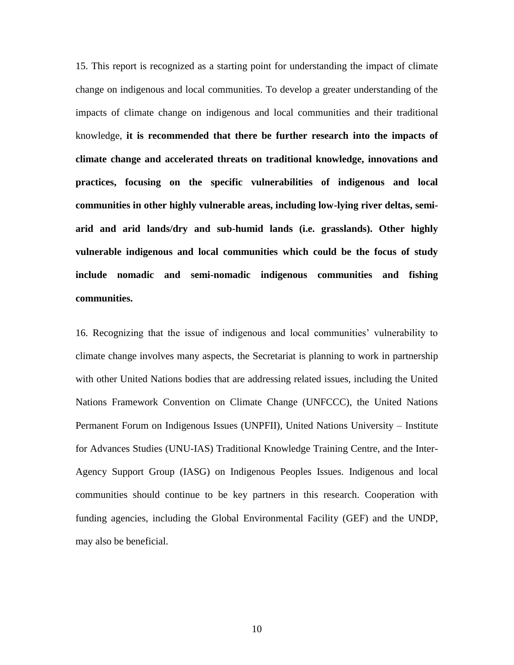15. This report is recognized as a starting point for understanding the impact of climate change on indigenous and local communities. To develop a greater understanding of the impacts of climate change on indigenous and local communities and their traditional knowledge, **it is recommended that there be further research into the impacts of climate change and accelerated threats on traditional knowledge, innovations and practices, focusing on the specific vulnerabilities of indigenous and local communities in other highly vulnerable areas, including low-lying river deltas, semiarid and arid lands/dry and sub-humid lands (i.e. grasslands). Other highly vulnerable indigenous and local communities which could be the focus of study include nomadic and semi-nomadic indigenous communities and fishing communities.** 

16. Recognizing that the issue of indigenous and local communities' vulnerability to climate change involves many aspects, the Secretariat is planning to work in partnership with other United Nations bodies that are addressing related issues, including the United Nations Framework Convention on Climate Change (UNFCCC), the United Nations Permanent Forum on Indigenous Issues (UNPFII), United Nations University – Institute for Advances Studies (UNU-IAS) Traditional Knowledge Training Centre, and the Inter-Agency Support Group (IASG) on Indigenous Peoples Issues. Indigenous and local communities should continue to be key partners in this research. Cooperation with funding agencies, including the Global Environmental Facility (GEF) and the UNDP, may also be beneficial.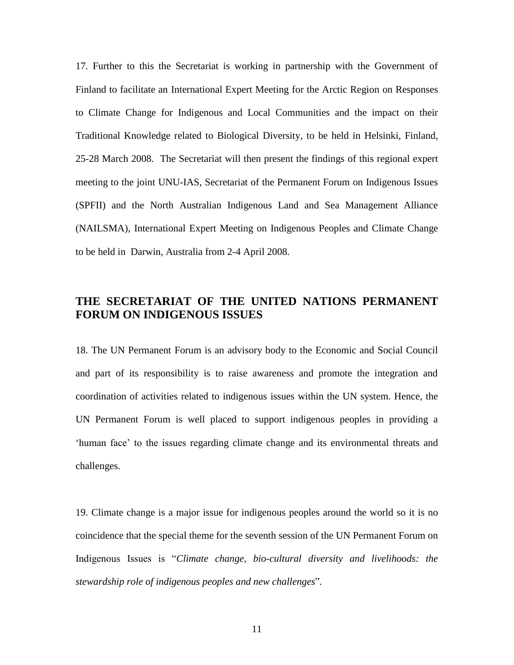17. Further to this the Secretariat is working in partnership with the Government of Finland to facilitate an International Expert Meeting for the Arctic Region on Responses to Climate Change for Indigenous and Local Communities and the impact on their Traditional Knowledge related to Biological Diversity, to be held in Helsinki, Finland, 25-28 March 2008. The Secretariat will then present the findings of this regional expert meeting to the joint UNU-IAS, Secretariat of the Permanent Forum on Indigenous Issues (SPFII) and the North Australian Indigenous Land and Sea Management Alliance (NAILSMA), International Expert Meeting on Indigenous Peoples and Climate Change to be held in Darwin, Australia from 2-4 April 2008.

## **THE SECRETARIAT OF THE UNITED NATIONS PERMANENT FORUM ON INDIGENOUS ISSUES**

18. The UN Permanent Forum is an advisory body to the Economic and Social Council and part of its responsibility is to raise awareness and promote the integration and coordination of activities related to indigenous issues within the UN system. Hence, the UN Permanent Forum is well placed to support indigenous peoples in providing a 'human face' to the issues regarding climate change and its environmental threats and challenges.

19. Climate change is a major issue for indigenous peoples around the world so it is no coincidence that the special theme for the seventh session of the UN Permanent Forum on Indigenous Issues is "*Climate change, bio-cultural diversity and livelihoods: the stewardship role of indigenous peoples and new challenges*"*.*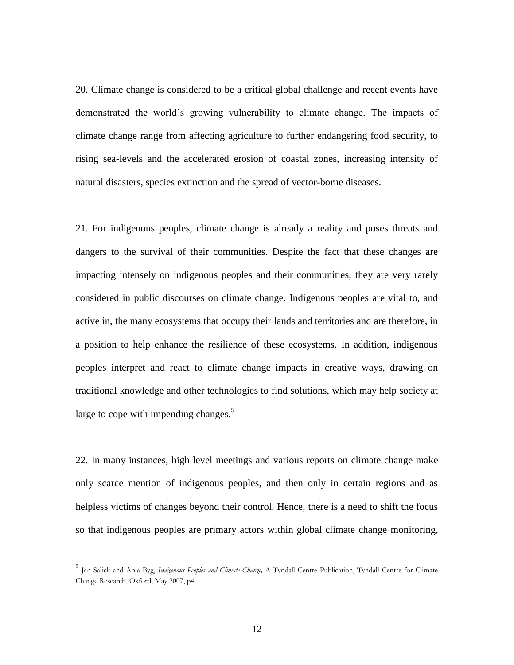20. Climate change is considered to be a critical global challenge and recent events have demonstrated the world's growing vulnerability to climate change. The impacts of climate change range from affecting agriculture to further endangering food security, to rising sea-levels and the accelerated erosion of coastal zones, increasing intensity of natural disasters, species extinction and the spread of vector-borne diseases.

21. For indigenous peoples, climate change is already a reality and poses threats and dangers to the survival of their communities. Despite the fact that these changes are impacting intensely on indigenous peoples and their communities, they are very rarely considered in public discourses on climate change. Indigenous peoples are vital to, and active in, the many ecosystems that occupy their lands and territories and are therefore, in a position to help enhance the resilience of these ecosystems. In addition, indigenous peoples interpret and react to climate change impacts in creative ways, drawing on traditional knowledge and other technologies to find solutions, which may help society at large to cope with impending changes.<sup>5</sup>

22. In many instances, high level meetings and various reports on climate change make only scarce mention of indigenous peoples, and then only in certain regions and as helpless victims of changes beyond their control. Hence, there is a need to shift the focus so that indigenous peoples are primary actors within global climate change monitoring,

<sup>5</sup> Jan Salick and Anja Byg, *Indigenous Peoples and Climate Change,* A Tyndall Centre Publication, Tyndall Centre for Climate Change Research, Oxford, May 2007, p4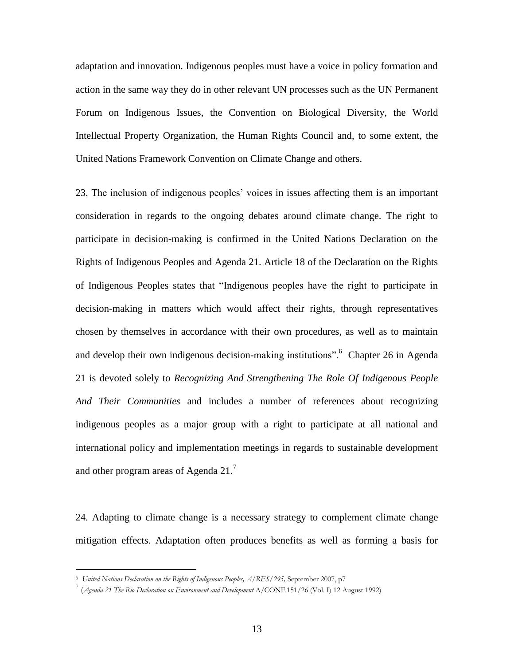adaptation and innovation. Indigenous peoples must have a voice in policy formation and action in the same way they do in other relevant UN processes such as the UN Permanent Forum on Indigenous Issues, the Convention on Biological Diversity, the World Intellectual Property Organization, the Human Rights Council and, to some extent, the United Nations Framework Convention on Climate Change and others.

23. The inclusion of indigenous peoples' voices in issues affecting them is an important consideration in regards to the ongoing debates around climate change. The right to participate in decision-making is confirmed in the United Nations Declaration on the Rights of Indigenous Peoples and Agenda 21. Article 18 of the Declaration on the Rights of Indigenous Peoples states that "Indigenous peoples have the right to participate in decision-making in matters which would affect their rights, through representatives chosen by themselves in accordance with their own procedures, as well as to maintain and develop their own indigenous decision-making institutions". Chapter 26 in Agenda 21 is devoted solely to *Recognizing And Strengthening The Role Of Indigenous People And Their Communities* and includes a number of references about recognizing indigenous peoples as a major group with a right to participate at all national and international policy and implementation meetings in regards to sustainable development and other program areas of Agenda  $21<sup>7</sup>$ 

24. Adapting to climate change is a necessary strategy to complement climate change mitigation effects. Adaptation often produces benefits as well as forming a basis for

<sup>6</sup> *United Nations Declaration on the Rights of Indigenous Peoples, A/RES/295,* September 2007, p7

<sup>7</sup> (*Agenda 21 The Rio Declaration on Environment and Development* A/CONF.151/26 (Vol. I) 12 August 1992)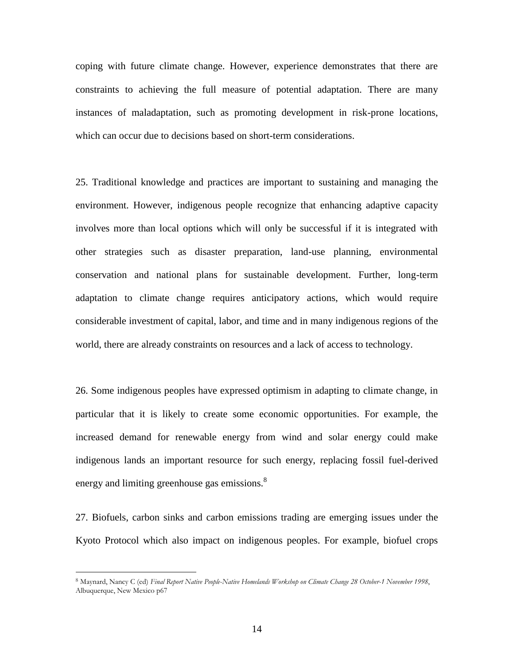coping with future climate change. However, experience demonstrates that there are constraints to achieving the full measure of potential adaptation. There are many instances of maladaptation, such as promoting development in risk-prone locations, which can occur due to decisions based on short-term considerations.

25. Traditional knowledge and practices are important to sustaining and managing the environment. However, indigenous people recognize that enhancing adaptive capacity involves more than local options which will only be successful if it is integrated with other strategies such as disaster preparation, land-use planning, environmental conservation and national plans for sustainable development. Further, long-term adaptation to climate change requires anticipatory actions, which would require considerable investment of capital, labor, and time and in many indigenous regions of the world, there are already constraints on resources and a lack of access to technology.

26. Some indigenous peoples have expressed optimism in adapting to climate change, in particular that it is likely to create some economic opportunities. For example, the increased demand for renewable energy from wind and solar energy could make indigenous lands an important resource for such energy, replacing fossil fuel-derived energy and limiting greenhouse gas emissions.<sup>8</sup>

27. Biofuels, carbon sinks and carbon emissions trading are emerging issues under the Kyoto Protocol which also impact on indigenous peoples. For example, biofuel crops

<sup>8</sup> Maynard, Nancy C (ed) *Final Report Native People-Native Homelands Workshop on Climate Change 28 October-1 November 1998*, Albuquerque, New Mexico p67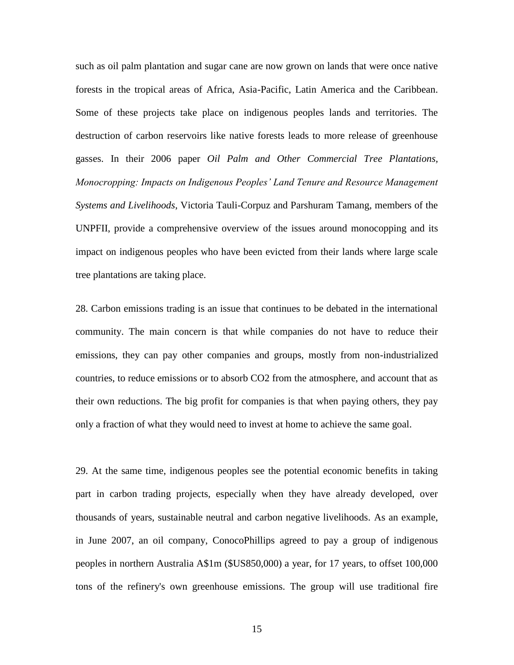such as oil palm plantation and sugar cane are now grown on lands that were once native forests in the tropical areas of Africa, Asia-Pacific, Latin America and the Caribbean. Some of these projects take place on indigenous peoples lands and territories. The destruction of carbon reservoirs like native forests leads to more release of greenhouse gasses. In their 2006 paper *Oil Palm and Other Commercial Tree Plantations, Monocropping: Impacts on Indigenous Peoples' Land Tenure and Resource Management Systems and Livelihoods*, Victoria Tauli-Corpuz and Parshuram Tamang, members of the UNPFII, provide a comprehensive overview of the issues around monocopping and its impact on indigenous peoples who have been evicted from their lands where large scale tree plantations are taking place.

28. Carbon emissions trading is an issue that continues to be debated in the international community. The main concern is that while companies do not have to reduce their emissions, they can pay other companies and groups, mostly from non-industrialized countries, to reduce emissions or to absorb CO2 from the atmosphere, and account that as their own reductions. The big profit for companies is that when paying others, they pay only a fraction of what they would need to invest at home to achieve the same goal.

29. At the same time, indigenous peoples see the potential economic benefits in taking part in carbon trading projects, especially when they have already developed, over thousands of years, sustainable neutral and carbon negative livelihoods. As an example, in June 2007, an oil company, ConocoPhillips agreed to pay a group of indigenous peoples in northern Australia A\$1m (\$US850,000) a year, for 17 years, to offset 100,000 tons of the refinery's own greenhouse emissions. The group will use traditional fire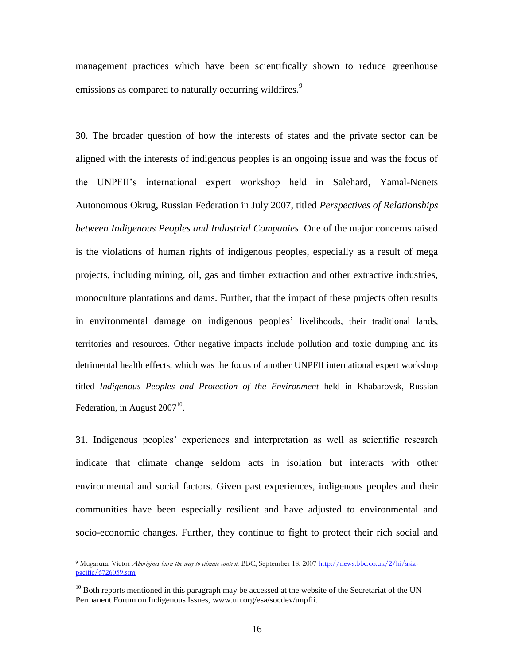management practices which have been scientifically shown to reduce greenhouse emissions as compared to naturally occurring wildfires.<sup>9</sup>

30. The broader question of how the interests of states and the private sector can be aligned with the interests of indigenous peoples is an ongoing issue and was the focus of the UNPFII's international expert workshop held in Salehard, Yamal-Nenets Autonomous Okrug, Russian Federation in July 2007, titled *Perspectives of Relationships between Indigenous Peoples and Industrial Companies*. One of the major concerns raised is the violations of human rights of indigenous peoples, especially as a result of mega projects, including mining, oil, gas and timber extraction and other extractive industries, monoculture plantations and dams. Further, that the impact of these projects often results in environmental damage on indigenous peoples' livelihoods, their traditional lands, territories and resources. Other negative impacts include pollution and toxic dumping and its detrimental health effects, which was the focus of another UNPFII international expert workshop titled *Indigenous Peoples and Protection of the Environment* held in Khabarovsk, Russian Federation, in August  $2007^{10}$ .

31. Indigenous peoples' experiences and interpretation as well as scientific research indicate that climate change seldom acts in isolation but interacts with other environmental and social factors. Given past experiences, indigenous peoples and their communities have been especially resilient and have adjusted to environmental and socio-economic changes. Further, they continue to fight to protect their rich social and

<sup>9</sup> Mugarura, Victor *Aborigines burn the way to climate control,* BBC, September 18, 200[7 http://news.bbc.co.uk/2/hi/asia](http://news.bbc.co.uk/2/hi/asia-pacific/6726059.stm)[pacific/6726059.stm](http://news.bbc.co.uk/2/hi/asia-pacific/6726059.stm)

 $10$  Both reports mentioned in this paragraph may be accessed at the website of the Secretariat of the UN Permanent Forum on Indigenous Issues, www.un.org/esa/socdev/unpfii.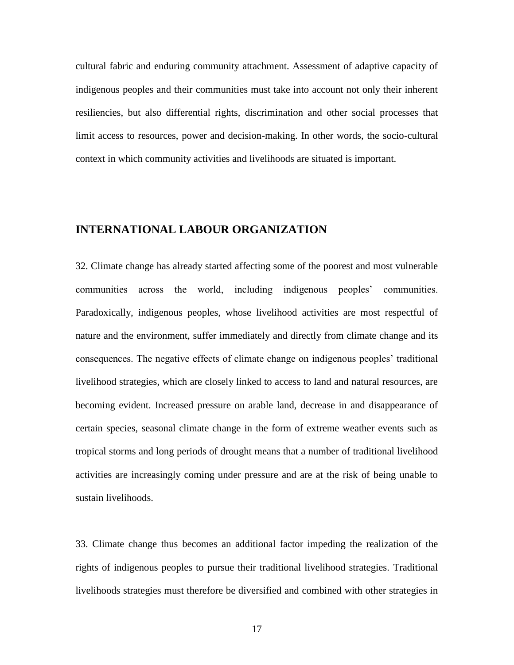cultural fabric and enduring community attachment. Assessment of adaptive capacity of indigenous peoples and their communities must take into account not only their inherent resiliencies, but also differential rights, discrimination and other social processes that limit access to resources, power and decision-making. In other words, the socio-cultural context in which community activities and livelihoods are situated is important.

### **INTERNATIONAL LABOUR ORGANIZATION**

32. Climate change has already started affecting some of the poorest and most vulnerable communities across the world, including indigenous peoples' communities. Paradoxically, indigenous peoples, whose livelihood activities are most respectful of nature and the environment, suffer immediately and directly from climate change and its consequences. The negative effects of climate change on indigenous peoples' traditional livelihood strategies, which are closely linked to access to land and natural resources, are becoming evident. Increased pressure on arable land, decrease in and disappearance of certain species, seasonal climate change in the form of extreme weather events such as tropical storms and long periods of drought means that a number of traditional livelihood activities are increasingly coming under pressure and are at the risk of being unable to sustain livelihoods.

33. Climate change thus becomes an additional factor impeding the realization of the rights of indigenous peoples to pursue their traditional livelihood strategies. Traditional livelihoods strategies must therefore be diversified and combined with other strategies in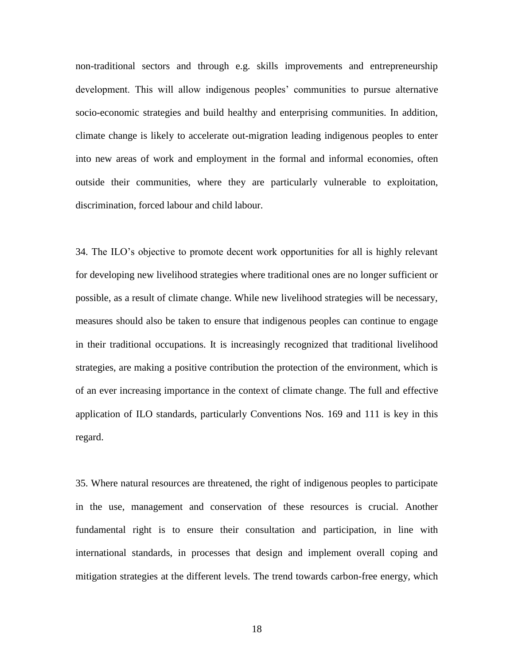non-traditional sectors and through e.g. skills improvements and entrepreneurship development. This will allow indigenous peoples' communities to pursue alternative socio-economic strategies and build healthy and enterprising communities. In addition, climate change is likely to accelerate out-migration leading indigenous peoples to enter into new areas of work and employment in the formal and informal economies, often outside their communities, where they are particularly vulnerable to exploitation, discrimination, forced labour and child labour.

34. The ILO's objective to promote decent work opportunities for all is highly relevant for developing new livelihood strategies where traditional ones are no longer sufficient or possible, as a result of climate change. While new livelihood strategies will be necessary, measures should also be taken to ensure that indigenous peoples can continue to engage in their traditional occupations. It is increasingly recognized that traditional livelihood strategies, are making a positive contribution the protection of the environment, which is of an ever increasing importance in the context of climate change. The full and effective application of ILO standards, particularly Conventions Nos. 169 and 111 is key in this regard.

35. Where natural resources are threatened, the right of indigenous peoples to participate in the use, management and conservation of these resources is crucial. Another fundamental right is to ensure their consultation and participation, in line with international standards, in processes that design and implement overall coping and mitigation strategies at the different levels. The trend towards carbon-free energy, which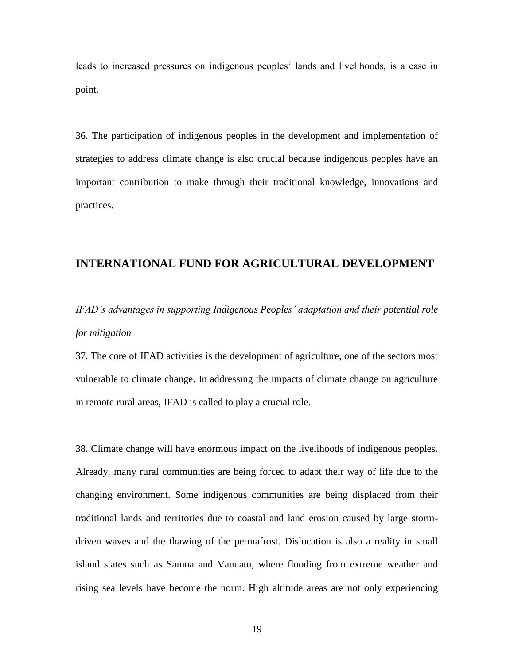leads to increased pressures on indigenous peoples' lands and livelihoods, is a case in point.

36. The participation of indigenous peoples in the development and implementation of strategies to address climate change is also crucial because indigenous peoples have an important contribution to make through their traditional knowledge, innovations and practices.

### **INTERNATIONAL FUND FOR AGRICULTURAL DEVELOPMENT**

## *IFAD's advantages in supporting Indigenous Peoples' adaptation and their potential role for mitigation*

37. The core of IFAD activities is the development of agriculture, one of the sectors most vulnerable to climate change. In addressing the impacts of climate change on agriculture in remote rural areas, IFAD is called to play a crucial role.

38. Climate change will have enormous impact on the livelihoods of indigenous peoples. Already, many rural communities are being forced to adapt their way of life due to the changing environment. Some indigenous communities are being displaced from their traditional lands and territories due to coastal and land erosion caused by large stormdriven waves and the thawing of the permafrost. Dislocation is also a reality in small island states such as Samoa and Vanuatu, where flooding from extreme weather and rising sea levels have become the norm. High altitude areas are not only experiencing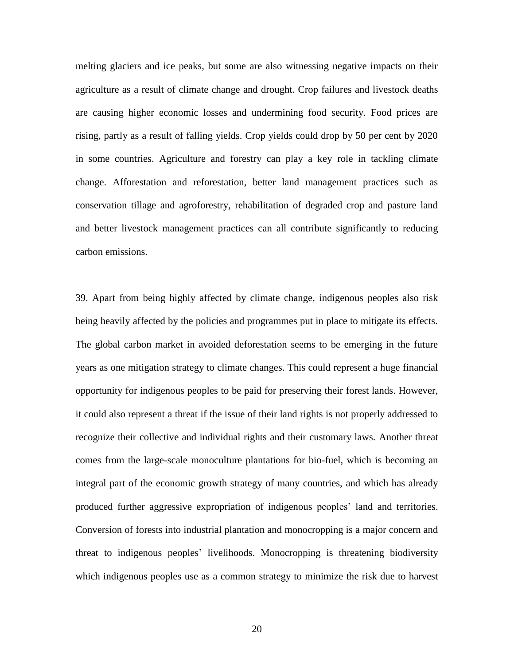melting glaciers and ice peaks, but some are also witnessing negative impacts on their agriculture as a result of climate change and drought. Crop failures and livestock deaths are causing higher economic losses and undermining food security. Food prices are rising, partly as a result of falling yields. Crop yields could drop by 50 per cent by 2020 in some countries. Agriculture and forestry can play a key role in tackling climate change. Afforestation and reforestation, better land management practices such as conservation tillage and agroforestry, rehabilitation of degraded crop and pasture land and better livestock management practices can all contribute significantly to reducing carbon emissions.

39. Apart from being highly affected by climate change, indigenous peoples also risk being heavily affected by the policies and programmes put in place to mitigate its effects. The global carbon market in avoided deforestation seems to be emerging in the future years as one mitigation strategy to climate changes. This could represent a huge financial opportunity for indigenous peoples to be paid for preserving their forest lands. However, it could also represent a threat if the issue of their land rights is not properly addressed to recognize their collective and individual rights and their customary laws. Another threat comes from the large-scale monoculture plantations for bio-fuel, which is becoming an integral part of the economic growth strategy of many countries, and which has already produced further aggressive expropriation of indigenous peoples' land and territories. Conversion of forests into industrial plantation and monocropping is a major concern and threat to indigenous peoples' livelihoods. Monocropping is threatening biodiversity which indigenous peoples use as a common strategy to minimize the risk due to harvest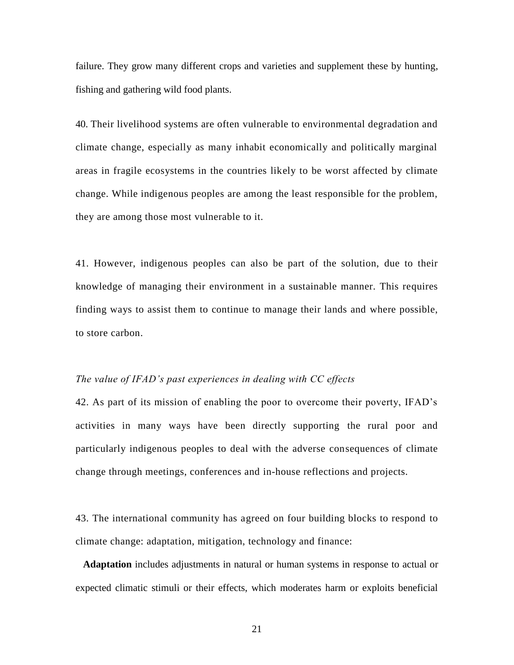failure. They grow many different crops and varieties and supplement these by hunting, fishing and gathering wild food plants.

40. Their livelihood systems are often vulnerable to environmental degradation and climate change, especially as many inhabit economically and politically marginal areas in fragile ecosystems in the countries likely to be worst affected by climate change. While indigenous peoples are among the least responsible for the problem, they are among those most vulnerable to it.

41. However, indigenous peoples can also be part of the solution, due to their knowledge of managing their environment in a sustainable manner. This requires finding ways to assist them to continue to manage their lands and where possible, to store carbon.

#### *The value of IFAD's past experiences in dealing with CC effects*

42. As part of its mission of enabling the poor to overcome their poverty, IFAD's activities in many ways have been directly supporting the rural poor and particularly indigenous peoples to deal with the adverse consequences of climate change through meetings, conferences and in-house reflections and projects.

43. The international community has agreed on four building blocks to respond to climate change: adaptation, mitigation, technology and finance:

**Adaptation** includes adjustments in natural or human systems in response to actual or expected climatic stimuli or their effects, which moderates harm or exploits beneficial

21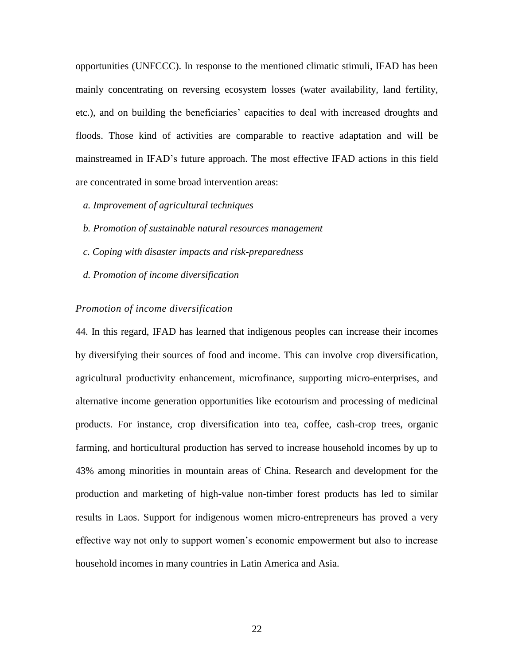opportunities (UNFCCC). In response to the mentioned climatic stimuli, IFAD has been mainly concentrating on reversing ecosystem losses (water availability, land fertility, etc.), and on building the beneficiaries' capacities to deal with increased droughts and floods. Those kind of activities are comparable to reactive adaptation and will be mainstreamed in IFAD's future approach. The most effective IFAD actions in this field are concentrated in some broad intervention areas:

- *a. Improvement of agricultural techniques*
- *b. Promotion of sustainable natural resources management*
- *c. Coping with disaster impacts and risk-preparedness*
- *d. Promotion of income diversification*

#### *Promotion of income diversification*

44. In this regard, IFAD has learned that indigenous peoples can increase their incomes by diversifying their sources of food and income. This can involve crop diversification, agricultural productivity enhancement, microfinance, supporting micro-enterprises, and alternative income generation opportunities like ecotourism and processing of medicinal products. For instance, crop diversification into tea, coffee, cash-crop trees, organic farming, and horticultural production has served to increase household incomes by up to 43% among minorities in mountain areas of China. Research and development for the production and marketing of high-value non-timber forest products has led to similar results in Laos. Support for indigenous women micro-entrepreneurs has proved a very effective way not only to support women's economic empowerment but also to increase household incomes in many countries in Latin America and Asia.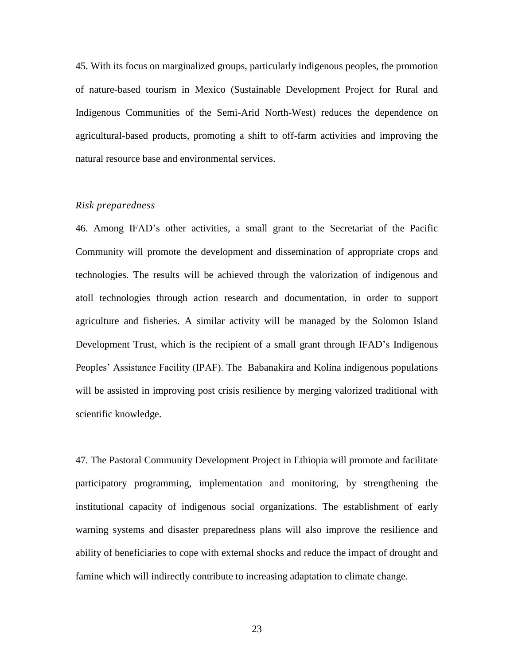45. With its focus on marginalized groups, particularly indigenous peoples, the promotion of nature-based tourism in Mexico (Sustainable Development Project for Rural and Indigenous Communities of the Semi-Arid North-West) reduces the dependence on agricultural-based products, promoting a shift to off-farm activities and improving the natural resource base and environmental services.

#### *Risk preparedness*

46. Among IFAD's other activities, a small grant to the Secretariat of the Pacific Community will promote the development and dissemination of appropriate crops and technologies. The results will be achieved through the valorization of indigenous and atoll technologies through action research and documentation, in order to support agriculture and fisheries. A similar activity will be managed by the Solomon Island Development Trust, which is the recipient of a small grant through IFAD's Indigenous Peoples' Assistance Facility (IPAF). The Babanakira and Kolina indigenous populations will be assisted in improving post crisis resilience by merging valorized traditional with scientific knowledge.

47. The Pastoral Community Development Project in Ethiopia will promote and facilitate participatory programming, implementation and monitoring, by strengthening the institutional capacity of indigenous social organizations. The establishment of early warning systems and disaster preparedness plans will also improve the resilience and ability of beneficiaries to cope with external shocks and reduce the impact of drought and famine which will indirectly contribute to increasing adaptation to climate change.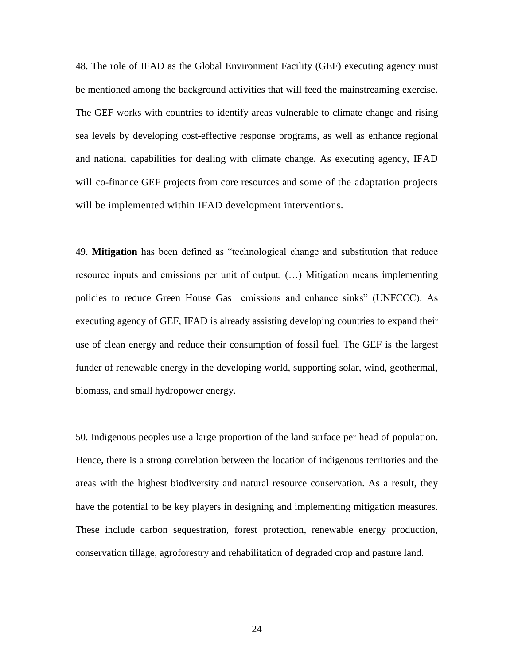48. The role of IFAD as the Global Environment Facility (GEF) executing agency must be mentioned among the background activities that will feed the mainstreaming exercise. The GEF works with countries to identify areas vulnerable to climate change and rising sea levels by developing cost-effective response programs, as well as enhance regional and national capabilities for dealing with climate change. As executing agency, IFAD will co-finance GEF projects from core resources and some of the adaptation projects will be implemented within IFAD development interventions.

49. **Mitigation** has been defined as "technological change and substitution that reduce resource inputs and emissions per unit of output. (…) Mitigation means implementing policies to reduce Green House Gas emissions and enhance sinks" (UNFCCC). As executing agency of GEF, IFAD is already assisting developing countries to expand their use of clean energy and reduce their consumption of fossil fuel. The GEF is the largest funder of renewable energy in the developing world, supporting solar, wind, geothermal, biomass, and small hydropower energy.

50. Indigenous peoples use a large proportion of the land surface per head of population. Hence, there is a strong correlation between the location of indigenous territories and the areas with the highest biodiversity and natural resource conservation. As a result, they have the potential to be key players in designing and implementing mitigation measures. These include carbon sequestration, forest protection, renewable energy production, conservation tillage, agroforestry and rehabilitation of degraded crop and pasture land.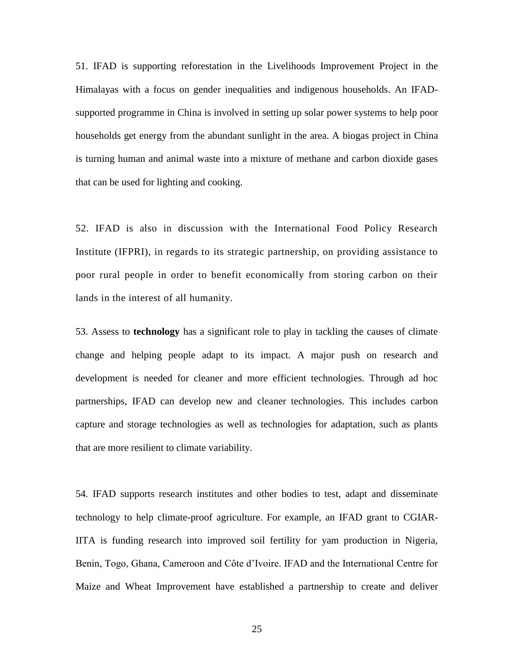51. IFAD is supporting reforestation in the Livelihoods Improvement Project in the Himalayas with a focus on gender inequalities and indigenous households. An IFADsupported programme in China is involved in setting up solar power systems to help poor households get energy from the abundant sunlight in the area. A biogas project in China is turning human and animal waste into a mixture of methane and carbon dioxide gases that can be used for lighting and cooking.

52. IFAD is also in discussion with the International Food Policy Research Institute (IFPRI), in regards to its strategic partnership, on providing assistance to poor rural people in order to benefit economically from storing carbon on their lands in the interest of all humanity.

53. Assess to **technology** has a significant role to play in tackling the causes of climate change and helping people adapt to its impact. A major push on research and development is needed for cleaner and more efficient technologies. Through ad hoc partnerships, IFAD can develop new and cleaner technologies. This includes carbon capture and storage technologies as well as technologies for adaptation, such as plants that are more resilient to climate variability.

54. IFAD supports research institutes and other bodies to test, adapt and disseminate technology to help climate-proof agriculture. For example, an IFAD grant to CGIAR-IITA is funding research into improved soil fertility for yam production in Nigeria, Benin, Togo, Ghana, Cameroon and Côte d'Ivoire. IFAD and the International Centre for Maize and Wheat Improvement have established a partnership to create and deliver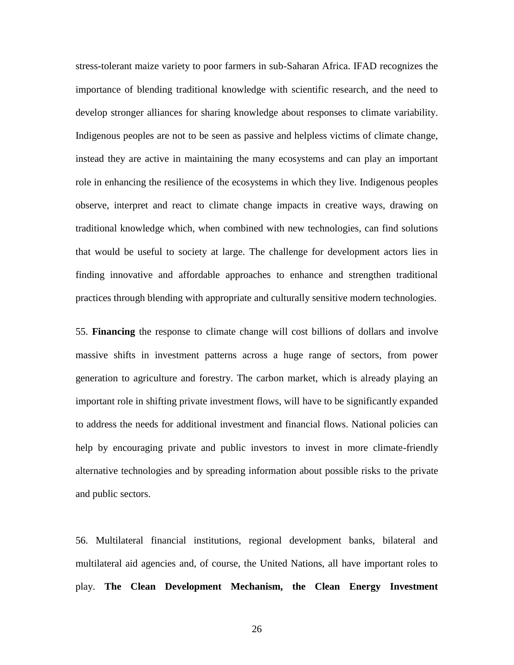stress-tolerant maize variety to poor farmers in sub-Saharan Africa. IFAD recognizes the importance of blending traditional knowledge with scientific research, and the need to develop stronger alliances for sharing knowledge about responses to climate variability. Indigenous peoples are not to be seen as passive and helpless victims of climate change, instead they are active in maintaining the many ecosystems and can play an important role in enhancing the resilience of the ecosystems in which they live. Indigenous peoples observe, interpret and react to climate change impacts in creative ways, drawing on traditional knowledge which, when combined with new technologies, can find solutions that would be useful to society at large. The challenge for development actors lies in finding innovative and affordable approaches to enhance and strengthen traditional practices through blending with appropriate and culturally sensitive modern technologies.

55. **Financing** the response to climate change will cost billions of dollars and involve massive shifts in investment patterns across a huge range of sectors, from power generation to agriculture and forestry. The carbon market, which is already playing an important role in shifting private investment flows, will have to be significantly expanded to address the needs for additional investment and financial flows. National policies can help by encouraging private and public investors to invest in more climate-friendly alternative technologies and by spreading information about possible risks to the private and public sectors.

56. Multilateral financial institutions, regional development banks, bilateral and multilateral aid agencies and, of course, the United Nations, all have important roles to play. **The Clean Development Mechanism, the Clean Energy Investment**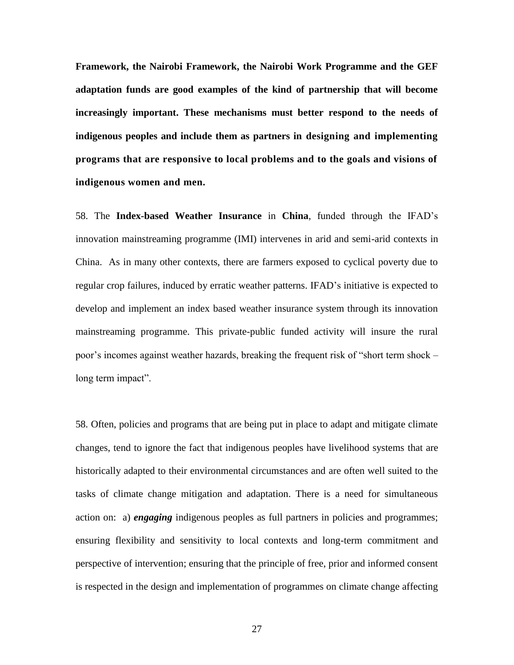**Framework, the Nairobi Framework, the Nairobi Work Programme and the GEF adaptation funds are good examples of the kind of partnership that will become increasingly important. These mechanisms must better respond to the needs of indigenous peoples and include them as partners in designing and implementing programs that are responsive to local problems and to the goals and visions of indigenous women and men.**

58. The **Index-based Weather Insurance** in **China**, funded through the IFAD's innovation mainstreaming programme (IMI) intervenes in arid and semi-arid contexts in China. As in many other contexts, there are farmers exposed to cyclical poverty due to regular crop failures, induced by erratic weather patterns. IFAD's initiative is expected to develop and implement an index based weather insurance system through its innovation mainstreaming programme. This private-public funded activity will insure the rural poor's incomes against weather hazards, breaking the frequent risk of "short term shock – long term impact".

58. Often, policies and programs that are being put in place to adapt and mitigate climate changes, tend to ignore the fact that indigenous peoples have livelihood systems that are historically adapted to their environmental circumstances and are often well suited to the tasks of climate change mitigation and adaptation. There is a need for simultaneous action on: a) *engaging* indigenous peoples as full partners in policies and programmes; ensuring flexibility and sensitivity to local contexts and long-term commitment and perspective of intervention; ensuring that the principle of free, prior and informed consent is respected in the design and implementation of programmes on climate change affecting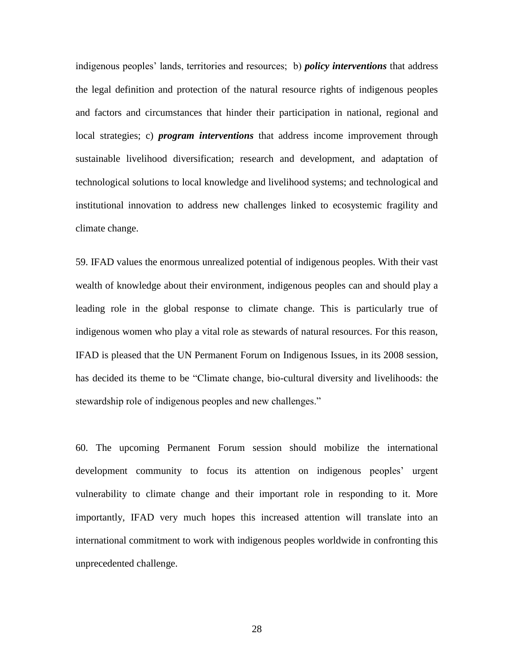indigenous peoples' lands, territories and resources; b) *policy interventions* that address the legal definition and protection of the natural resource rights of indigenous peoples and factors and circumstances that hinder their participation in national, regional and local strategies; c) *program interventions* that address income improvement through sustainable livelihood diversification; research and development, and adaptation of technological solutions to local knowledge and livelihood systems; and technological and institutional innovation to address new challenges linked to ecosystemic fragility and climate change.

59. IFAD values the enormous unrealized potential of indigenous peoples. With their vast wealth of knowledge about their environment, indigenous peoples can and should play a leading role in the global response to climate change. This is particularly true of indigenous women who play a vital role as stewards of natural resources. For this reason, IFAD is pleased that the UN Permanent Forum on Indigenous Issues, in its 2008 session, has decided its theme to be "Climate change, bio-cultural diversity and livelihoods: the stewardship role of indigenous peoples and new challenges."

60. The upcoming Permanent Forum session should mobilize the international development community to focus its attention on indigenous peoples' urgent vulnerability to climate change and their important role in responding to it. More importantly, IFAD very much hopes this increased attention will translate into an international commitment to work with indigenous peoples worldwide in confronting this unprecedented challenge.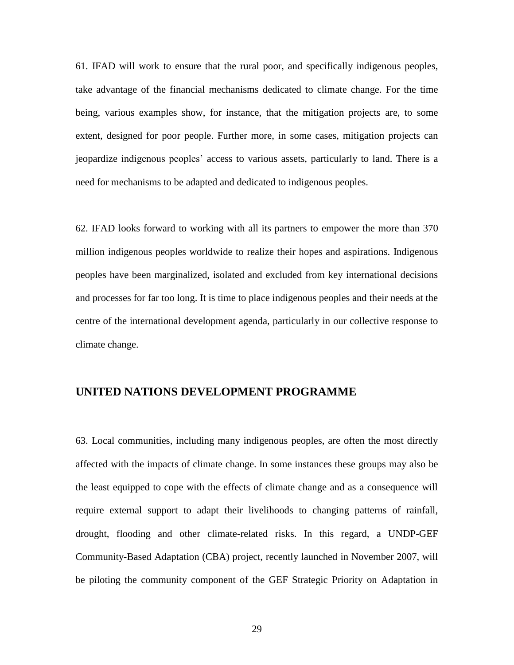61. IFAD will work to ensure that the rural poor, and specifically indigenous peoples, take advantage of the financial mechanisms dedicated to climate change. For the time being, various examples show, for instance, that the mitigation projects are, to some extent, designed for poor people. Further more, in some cases, mitigation projects can jeopardize indigenous peoples' access to various assets, particularly to land. There is a need for mechanisms to be adapted and dedicated to indigenous peoples.

62. IFAD looks forward to working with all its partners to empower the more than 370 million indigenous peoples worldwide to realize their hopes and aspirations. Indigenous peoples have been marginalized, isolated and excluded from key international decisions and processes for far too long. It is time to place indigenous peoples and their needs at the centre of the international development agenda, particularly in our collective response to climate change.

## **UNITED NATIONS DEVELOPMENT PROGRAMME**

63. Local communities, including many indigenous peoples, are often the most directly affected with the impacts of climate change. In some instances these groups may also be the least equipped to cope with the effects of climate change and as a consequence will require external support to adapt their livelihoods to changing patterns of rainfall, drought, flooding and other climate-related risks. In this regard, a UNDP-GEF Community-Based Adaptation (CBA) project, recently launched in November 2007, will be piloting the community component of the GEF Strategic Priority on Adaptation in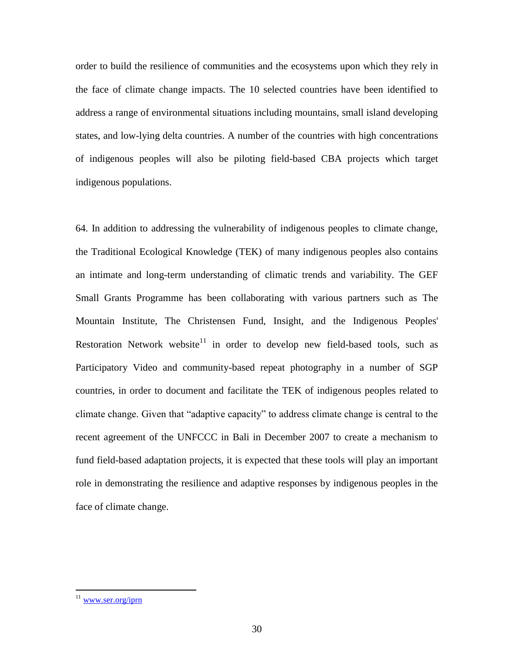order to build the resilience of communities and the ecosystems upon which they rely in the face of climate change impacts. The 10 selected countries have been identified to address a range of environmental situations including mountains, small island developing states, and low-lying delta countries. A number of the countries with high concentrations of indigenous peoples will also be piloting field-based CBA projects which target indigenous populations.

64. In addition to addressing the vulnerability of indigenous peoples to climate change, the Traditional Ecological Knowledge (TEK) of many indigenous peoples also contains an intimate and long-term understanding of climatic trends and variability. The GEF Small Grants Programme has been collaborating with various partners such as The Mountain Institute, The Christensen Fund, Insight, and the Indigenous Peoples' Restoration Network website<sup>11</sup> in order to develop new field-based tools, such as Participatory Video and community-based repeat photography in a number of SGP countries, in order to document and facilitate the TEK of indigenous peoples related to climate change. Given that "adaptive capacity" to address climate change is central to the recent agreement of the UNFCCC in Bali in December 2007 to create a mechanism to fund field-based adaptation projects, it is expected that these tools will play an important role in demonstrating the resilience and adaptive responses by indigenous peoples in the face of climate change.

<sup>&</sup>lt;sup>11</sup> www.ser.org/iprn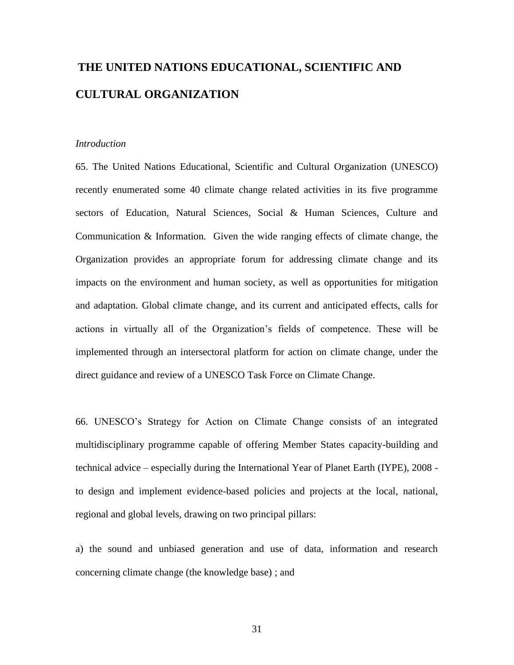# **THE UNITED NATIONS EDUCATIONAL, SCIENTIFIC AND CULTURAL ORGANIZATION**

#### *Introduction*

65. The United Nations Educational, Scientific and Cultural Organization (UNESCO) recently enumerated some 40 climate change related activities in its five programme sectors of Education, Natural Sciences, Social & Human Sciences, Culture and Communication & Information. Given the wide ranging effects of climate change, the Organization provides an appropriate forum for addressing climate change and its impacts on the environment and human society, as well as opportunities for mitigation and adaptation. Global climate change, and its current and anticipated effects, calls for actions in virtually all of the Organization's fields of competence. These will be implemented through an intersectoral platform for action on climate change, under the direct guidance and review of a UNESCO Task Force on Climate Change.

66. UNESCO's Strategy for Action on Climate Change consists of an integrated multidisciplinary programme capable of offering Member States capacity-building and technical advice – especially during the International Year of Planet Earth (IYPE), 2008 to design and implement evidence-based policies and projects at the local, national, regional and global levels, drawing on two principal pillars:

a) the sound and unbiased generation and use of data, information and research concerning climate change (the knowledge base) ; and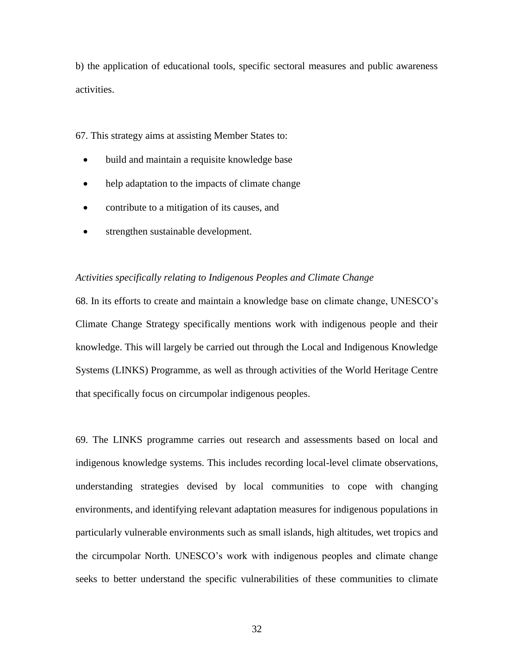b) the application of educational tools, specific sectoral measures and public awareness activities.

67. This strategy aims at assisting Member States to:

- build and maintain a requisite knowledge base
- help adaptation to the impacts of climate change
- contribute to a mitigation of its causes, and
- strengthen sustainable development.

#### *Activities specifically relating to Indigenous Peoples and Climate Change*

68. In its efforts to create and maintain a knowledge base on climate change, UNESCO's Climate Change Strategy specifically mentions work with indigenous people and their knowledge. This will largely be carried out through the Local and Indigenous Knowledge Systems (LINKS) Programme, as well as through activities of the World Heritage Centre that specifically focus on circumpolar indigenous peoples.

69. The LINKS programme carries out research and assessments based on local and indigenous knowledge systems. This includes recording local-level climate observations, understanding strategies devised by local communities to cope with changing environments, and identifying relevant adaptation measures for indigenous populations in particularly vulnerable environments such as small islands, high altitudes, wet tropics and the circumpolar North. UNESCO's work with indigenous peoples and climate change seeks to better understand the specific vulnerabilities of these communities to climate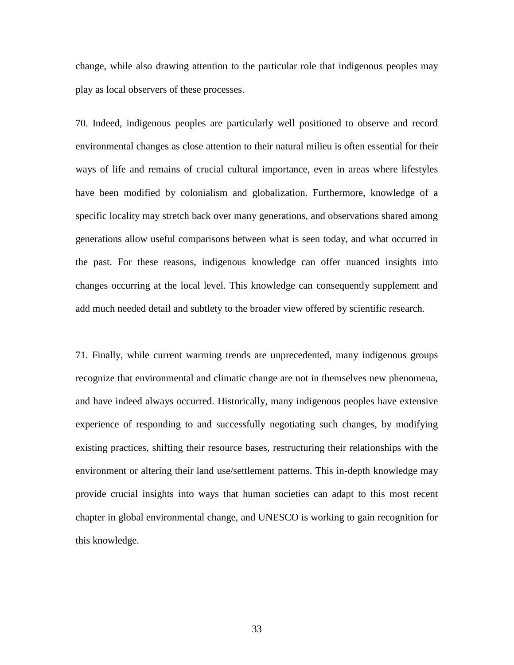change, while also drawing attention to the particular role that indigenous peoples may play as local observers of these processes.

70. Indeed, indigenous peoples are particularly well positioned to observe and record environmental changes as close attention to their natural milieu is often essential for their ways of life and remains of crucial cultural importance, even in areas where lifestyles have been modified by colonialism and globalization. Furthermore, knowledge of a specific locality may stretch back over many generations, and observations shared among generations allow useful comparisons between what is seen today, and what occurred in the past. For these reasons, indigenous knowledge can offer nuanced insights into changes occurring at the local level. This knowledge can consequently supplement and add much needed detail and subtlety to the broader view offered by scientific research.

71. Finally, while current warming trends are unprecedented, many indigenous groups recognize that environmental and climatic change are not in themselves new phenomena, and have indeed always occurred. Historically, many indigenous peoples have extensive experience of responding to and successfully negotiating such changes, by modifying existing practices, shifting their resource bases, restructuring their relationships with the environment or altering their land use/settlement patterns. This in-depth knowledge may provide crucial insights into ways that human societies can adapt to this most recent chapter in global environmental change, and UNESCO is working to gain recognition for this knowledge.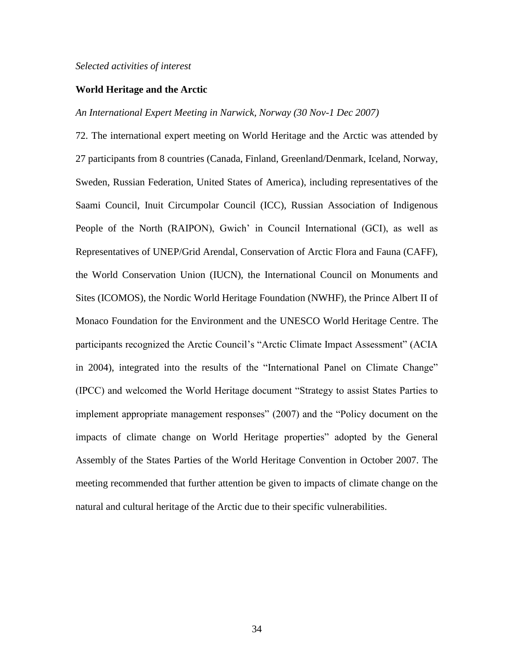#### *Selected activities of interest*

#### **World Heritage and the Arctic**

#### *An International Expert Meeting in Narwick, Norway (30 Nov-1 Dec 2007)*

72. The international expert meeting on World Heritage and the Arctic was attended by 27 participants from 8 countries (Canada, Finland, Greenland/Denmark, Iceland, Norway, Sweden, Russian Federation, United States of America), including representatives of the Saami Council, Inuit Circumpolar Council (ICC), Russian Association of Indigenous People of the North (RAIPON), Gwich' in Council International (GCI), as well as Representatives of UNEP/Grid Arendal, Conservation of Arctic Flora and Fauna (CAFF), the World Conservation Union (IUCN), the International Council on Monuments and Sites (ICOMOS), the Nordic World Heritage Foundation (NWHF), the Prince Albert II of Monaco Foundation for the Environment and the UNESCO World Heritage Centre. The participants recognized the Arctic Council's "Arctic Climate Impact Assessment" (ACIA in 2004), integrated into the results of the "International Panel on Climate Change" (IPCC) and welcomed the World Heritage document "Strategy to assist States Parties to implement appropriate management responses" (2007) and the "Policy document on the impacts of climate change on World Heritage properties" adopted by the General Assembly of the States Parties of the World Heritage Convention in October 2007. The meeting recommended that further attention be given to impacts of climate change on the natural and cultural heritage of the Arctic due to their specific vulnerabilities.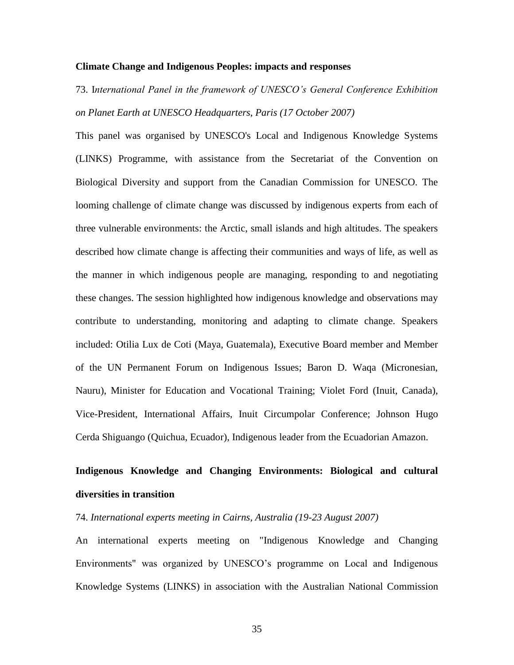#### **Climate Change and Indigenous Peoples: impacts and responses**

73. I*nternational Panel in the framework of UNESCO's General Conference Exhibition on Planet Earth at UNESCO Headquarters, Paris (17 October 2007)*

This panel was organised by UNESCO's Local and Indigenous Knowledge Systems (LINKS) Programme, with assistance from the Secretariat of the Convention on Biological Diversity and support from the Canadian Commission for UNESCO. The looming challenge of climate change was discussed by indigenous experts from each of three vulnerable environments: the Arctic, small islands and high altitudes. The speakers described how climate change is affecting their communities and ways of life, as well as the manner in which indigenous people are managing, responding to and negotiating these changes. The session highlighted how indigenous knowledge and observations may contribute to understanding, monitoring and adapting to climate change. Speakers included: Otilia Lux de Coti (Maya, Guatemala), Executive Board member and Member of the UN Permanent Forum on Indigenous Issues; Baron D. Waqa (Micronesian, Nauru), Minister for Education and Vocational Training; Violet Ford (Inuit, Canada), Vice-President, International Affairs, Inuit Circumpolar Conference; Johnson Hugo Cerda Shiguango (Quichua, Ecuador), Indigenous leader from the Ecuadorian Amazon.

## **Indigenous Knowledge and Changing Environments: Biological and cultural diversities in transition**

74. *International experts meeting in Cairns, Australia (19-23 August 2007)* 

An international experts meeting on "Indigenous Knowledge and Changing Environments" was organized by UNESCO's programme on Local and Indigenous Knowledge Systems (LINKS) in association with the Australian National Commission

35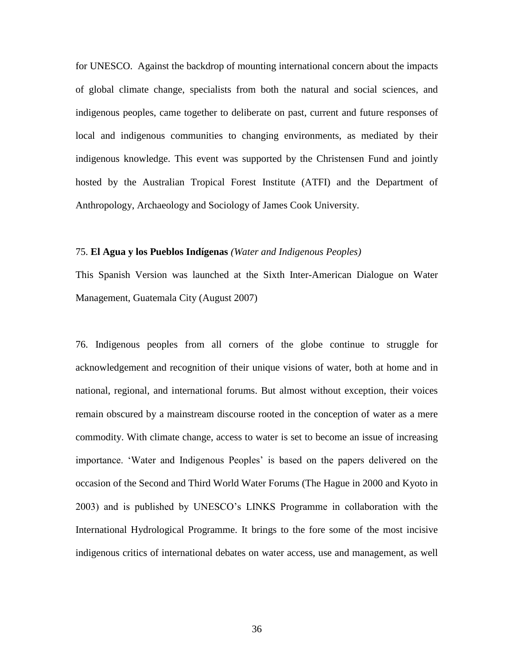for UNESCO. Against the backdrop of mounting international concern about the impacts of global climate change, specialists from both the natural and social sciences, and indigenous peoples, came together to deliberate on past, current and future responses of local and indigenous communities to changing environments, as mediated by their indigenous knowledge. This event was supported by the Christensen Fund and jointly hosted by the Australian Tropical Forest Institute (ATFI) and the Department of Anthropology, Archaeology and Sociology of James Cook University.

#### 75. **El Agua y los Pueblos Indígenas** *(Water and Indigenous Peoples)*

This Spanish Version was launched at the Sixth Inter-American Dialogue on Water Management, Guatemala City (August 2007)

76. Indigenous peoples from all corners of the globe continue to struggle for acknowledgement and recognition of their unique visions of water, both at home and in national, regional, and international forums. But almost without exception, their voices remain obscured by a mainstream discourse rooted in the conception of water as a mere commodity. With climate change, access to water is set to become an issue of increasing importance. 'Water and Indigenous Peoples' is based on the papers delivered on the occasion of the Second and Third World Water Forums (The Hague in 2000 and Kyoto in 2003) and is published by UNESCO's LINKS Programme in collaboration with the International Hydrological Programme. It brings to the fore some of the most incisive indigenous critics of international debates on water access, use and management, as well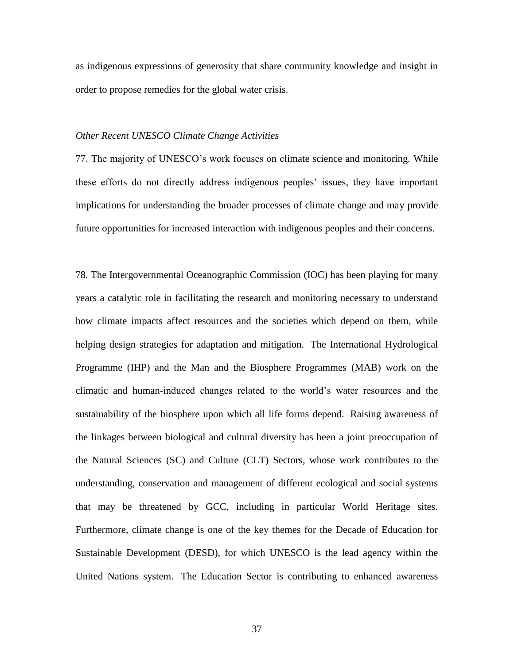as indigenous expressions of generosity that share community knowledge and insight in order to propose remedies for the global water crisis.

#### *Other Recent UNESCO Climate Change Activities*

77. The majority of UNESCO's work focuses on climate science and monitoring. While these efforts do not directly address indigenous peoples' issues, they have important implications for understanding the broader processes of climate change and may provide future opportunities for increased interaction with indigenous peoples and their concerns.

78. The Intergovernmental Oceanographic Commission [\(IOC\)](http://ioc.unesco.org/) has been playing for many years a catalytic role in facilitating the research and monitoring necessary to understand how climate impacts affect resources and the societies which depend on them, while helping design strategies for adaptation and mitigation. The International Hydrological Programme [\(IHP\)](http://www.unesco.org/water/ihp/) and the Man and the Biosphere Programmes [\(MAB\)](http://www.unesco.org/mab/) work on the climatic and human-induced changes related to the world's water resources and the sustainability of the biosphere upon which all life forms depend. Raising awareness of the linkages between biological and cultural diversity has been a joint preoccupation of the Natural Sciences [\(SC\)](http://www.unesco.org/science/) and Culture [\(CLT\)](http://www.unesco.org/culture/) Sectors, whose work contributes to the understanding, conservation and management of different ecological and social systems that may be threatened by GCC, including in particular World Heritage sites. Furthermore, climate change is one of the key themes for the Decade of Education for Sustainable Development [\(DESD\)](http://www.unesco.org/education/desd/), for which UNESCO is the lead agency within the United Nations system. The Education Sector is contributing to enhanced awareness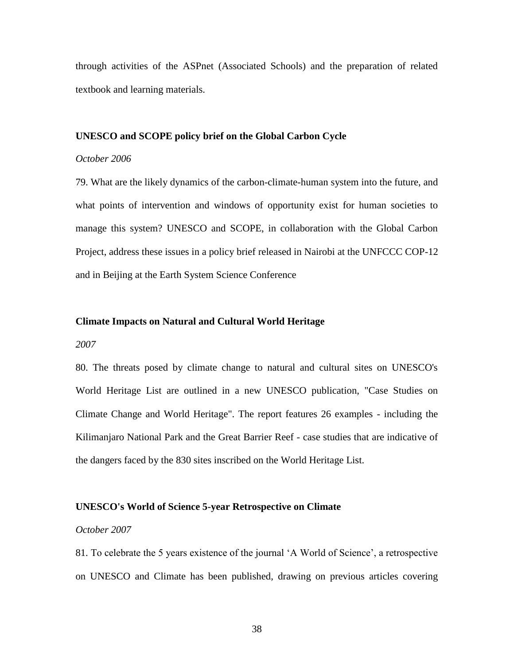through activities of the ASPnet (Associated Schools) and the preparation of related textbook and learning materials.

#### **UNESCO and SCOPE policy brief on the Global Carbon Cycle**

#### *October 2006*

79. What are the likely dynamics of the carbon-climate-human system into the future, and what points of intervention and windows of opportunity exist for human societies to manage this system? UNESCO and SCOPE, in collaboration with the Global Carbon Project, address these issues in a policy brief released in Nairobi at the UNFCCC COP-12 and in Beijing at the Earth System Science Conference

#### **Climate Impacts on Natural and Cultural World Heritage**

#### *2007*

80. The threats posed by climate change to natural and cultural sites on UNESCO's World Heritage List are outlined in a new UNESCO publication, "Case Studies on Climate Change and World Heritage". The report features 26 examples - including the Kilimanjaro National Park and the Great Barrier Reef - case studies that are indicative of the dangers faced by the 830 sites inscribed on the World Heritage List.

#### **UNESCO's World of Science 5-year Retrospective on Climate**

#### *October 2007*

81. To celebrate the 5 years existence of the journal 'A World of Science', a retrospective on UNESCO and Climate has been published, drawing on previous articles covering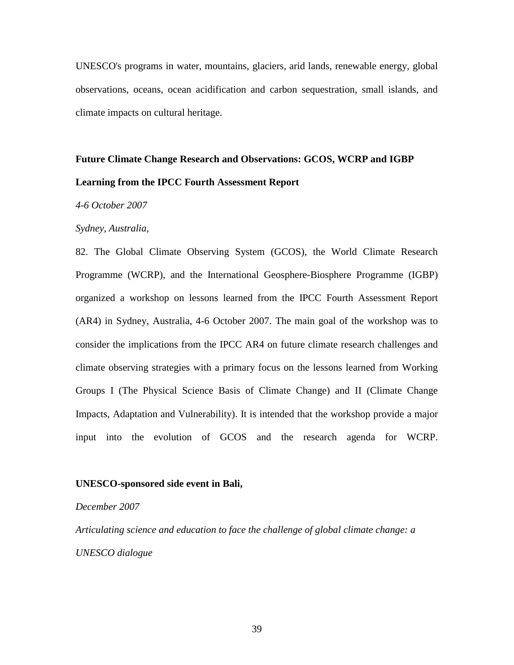UNESCO's programs in water, mountains, glaciers, arid lands, renewable energy, global observations, oceans, ocean acidification and carbon sequestration, small islands, and climate impacts on cultural heritage.

## **Future Climate Change Research and Observations: GCOS, WCRP and IGBP Learning from the IPCC Fourth Assessment Report**

#### *4-6 October 2007*

#### *Sydney, Australia,*

82. The Global Climate Observing System (GCOS), the World Climate Research Programme (WCRP), and the International Geosphere-Biosphere Programme (IGBP) organized a workshop on lessons learned from the IPCC Fourth Assessment Report (AR4) in Sydney, Australia, 4-6 October 2007. The main goal of the workshop was to consider the implications from the IPCC AR4 on future climate research challenges and climate observing strategies with a primary focus on the lessons learned from Working Groups I (The Physical Science Basis of Climate Change) and II (Climate Change Impacts, Adaptation and Vulnerability). It is intended that the workshop provide a major input into the evolution of GCOS and the research agenda for WCRP.

#### **UNESCO-sponsored side event in Bali,**

#### *December 2007*

*Articulating science and education to face the challenge of global climate change: a UNESCO dialogue*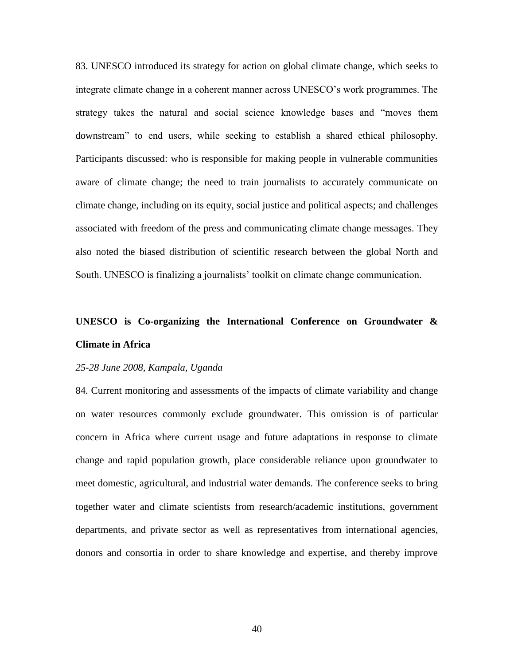83. UNESCO introduced its strategy for action on global climate change, which seeks to integrate climate change in a coherent manner across UNESCO's work programmes. The strategy takes the natural and social science knowledge bases and "moves them downstream" to end users, while seeking to establish a shared ethical philosophy. Participants discussed: who is responsible for making people in vulnerable communities aware of climate change; the need to train journalists to accurately communicate on climate change, including on its equity, social justice and political aspects; and challenges associated with freedom of the press and communicating climate change messages. They also noted the biased distribution of scientific research between the global North and South. UNESCO is finalizing a journalists' toolkit on climate change communication.

## **UNESCO is Co-organizing the International Conference on Groundwater & Climate in Africa**

#### *25-28 June 2008, Kampala, Uganda*

84. Current monitoring and assessments of the impacts of climate variability and change on water resources commonly exclude groundwater. This omission is of particular concern in Africa where current usage and future adaptations in response to climate change and rapid population growth, place considerable reliance upon groundwater to meet domestic, agricultural, and industrial water demands. The conference seeks to bring together water and climate scientists from research/academic institutions, government departments, and private sector as well as representatives from international agencies, donors and consortia in order to share knowledge and expertise, and thereby improve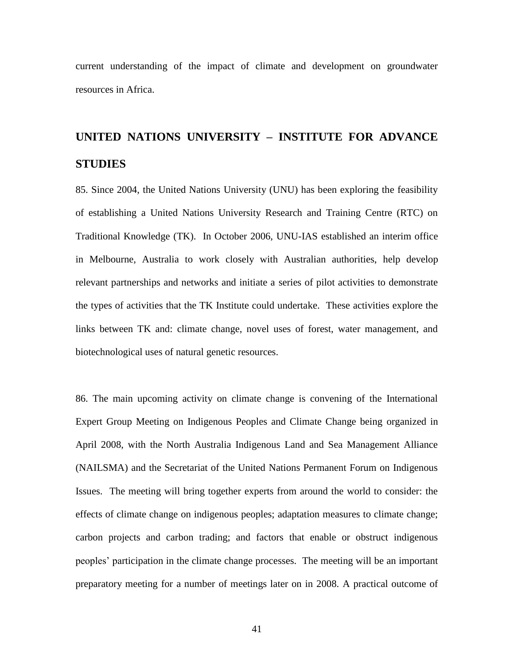current understanding of the impact of climate and development on groundwater resources in Africa.

# **UNITED NATIONS UNIVERSITY – INSTITUTE FOR ADVANCE STUDIES**

85. Since 2004, the United Nations University (UNU) has been exploring the feasibility of establishing a United Nations University Research and Training Centre (RTC) on Traditional Knowledge (TK). In October 2006, UNU-IAS established an interim office in Melbourne, Australia to work closely with Australian authorities, help develop relevant partnerships and networks and initiate a series of pilot activities to demonstrate the types of activities that the TK Institute could undertake. These activities explore the links between TK and: climate change, novel uses of forest, water management, and biotechnological uses of natural genetic resources.

86. The main upcoming activity on climate change is convening of the International Expert Group Meeting on Indigenous Peoples and Climate Change being organized in April 2008, with the North Australia Indigenous Land and Sea Management Alliance (NAILSMA) and the Secretariat of the United Nations Permanent Forum on Indigenous Issues. The meeting will bring together experts from around the world to consider: the effects of climate change on indigenous peoples; adaptation measures to climate change; carbon projects and carbon trading; and factors that enable or obstruct indigenous peoples' participation in the climate change processes. The meeting will be an important preparatory meeting for a number of meetings later on in 2008. A practical outcome of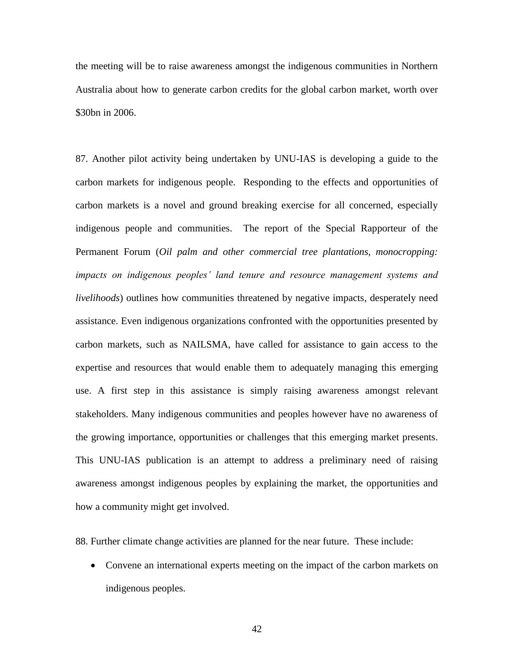the meeting will be to raise awareness amongst the indigenous communities in Northern Australia about how to generate carbon credits for the global carbon market, worth over \$30bn in 2006.

87. Another pilot activity being undertaken by UNU-IAS is developing a guide to the carbon markets for indigenous people. Responding to the effects and opportunities of carbon markets is a novel and ground breaking exercise for all concerned, especially indigenous people and communities. The report of the Special Rapporteur of the Permanent Forum (*Oil palm and other commercial tree plantations, monocropping: impacts on indigenous peoples' land tenure and resource management systems and livelihoods*) outlines how communities threatened by negative impacts, desperately need assistance. Even indigenous organizations confronted with the opportunities presented by carbon markets, such as NAILSMA, have called for assistance to gain access to the expertise and resources that would enable them to adequately managing this emerging use. A first step in this assistance is simply raising awareness amongst relevant stakeholders. Many indigenous communities and peoples however have no awareness of the growing importance, opportunities or challenges that this emerging market presents. This UNU-IAS publication is an attempt to address a preliminary need of raising awareness amongst indigenous peoples by explaining the market, the opportunities and how a community might get involved.

88. Further climate change activities are planned for the near future. These include:

 Convene an international experts meeting on the impact of the carbon markets on indigenous peoples.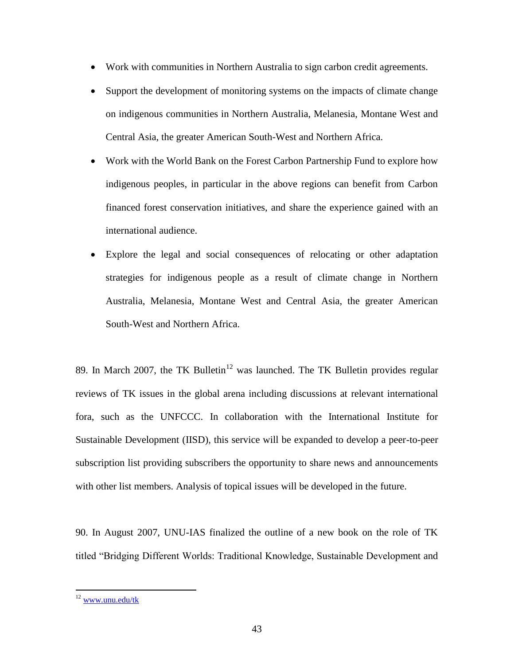- Work with communities in Northern Australia to sign carbon credit agreements.
- Support the development of monitoring systems on the impacts of climate change on indigenous communities in Northern Australia, Melanesia, Montane West and Central Asia, the greater American South-West and Northern Africa.
- Work with the World Bank on the Forest Carbon Partnership Fund to explore how indigenous peoples, in particular in the above regions can benefit from Carbon financed forest conservation initiatives, and share the experience gained with an international audience.
- Explore the legal and social consequences of relocating or other adaptation strategies for indigenous people as a result of climate change in Northern Australia, Melanesia, Montane West and Central Asia, the greater American South-West and Northern Africa.

89. In March 2007, the TK Bulletin<sup>12</sup> was launched. The TK Bulletin provides regular reviews of TK issues in the global arena including discussions at relevant international fora, such as the UNFCCC. In collaboration with the International Institute for Sustainable Development (IISD), this service will be expanded to develop a peer-to-peer subscription list providing subscribers the opportunity to share news and announcements with other list members. Analysis of topical issues will be developed in the future.

90. In August 2007, UNU-IAS finalized the outline of a new book on the role of TK titled "Bridging Different Worlds: Traditional Knowledge, Sustainable Development and

<sup>&</sup>lt;sup>12</sup> [www.unu.edu/tk](http://www.unu.edu/tk)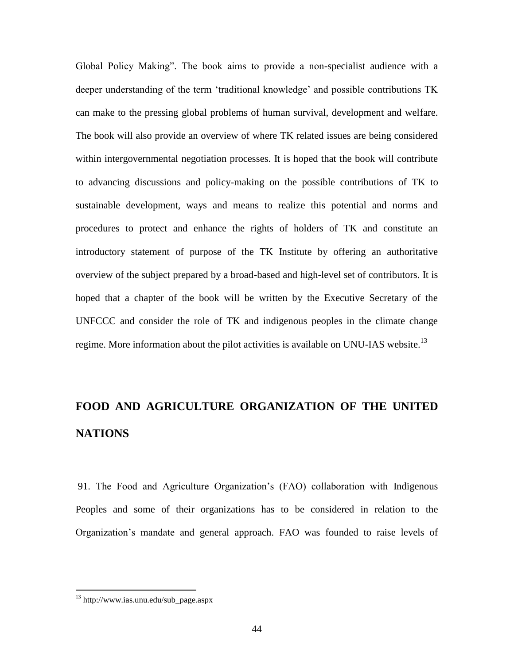Global Policy Making". The book aims to provide a non-specialist audience with a deeper understanding of the term 'traditional knowledge' and possible contributions TK can make to the pressing global problems of human survival, development and welfare. The book will also provide an overview of where TK related issues are being considered within intergovernmental negotiation processes. It is hoped that the book will contribute to advancing discussions and policy-making on the possible contributions of TK to sustainable development, ways and means to realize this potential and norms and procedures to protect and enhance the rights of holders of TK and constitute an introductory statement of purpose of the TK Institute by offering an authoritative overview of the subject prepared by a broad-based and high-level set of contributors. It is hoped that a chapter of the book will be written by the Executive Secretary of the UNFCCC and consider the role of TK and indigenous peoples in the climate change regime. More information about the pilot activities is available on UNU-IAS website.<sup>13</sup>

# **FOOD AND AGRICULTURE ORGANIZATION OF THE UNITED NATIONS**

91. The Food and Agriculture Organization's (FAO) collaboration with Indigenous Peoples and some of their organizations has to be considered in relation to the Organization's mandate and general approach. FAO was founded to raise levels of

<sup>13</sup> http://www.ias.unu.edu/sub\_page.aspx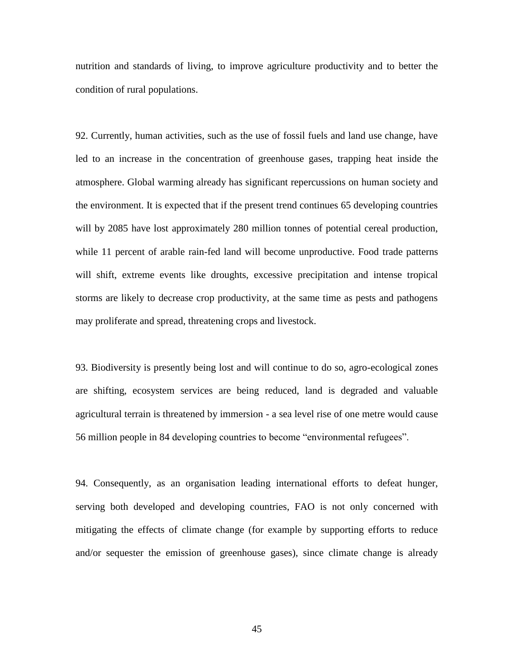nutrition and standards of living, to improve agriculture productivity and to better the condition of rural populations.

92. Currently, human activities, such as the use of fossil fuels and land use change, have led to an increase in the concentration of greenhouse gases, trapping heat inside the atmosphere. Global warming already has significant repercussions on human society and the environment. It is expected that if the present trend continues 65 developing countries will by 2085 have lost approximately 280 million tonnes of potential cereal production, while 11 percent of arable rain-fed land will become unproductive. Food trade patterns will shift, extreme events like droughts, excessive precipitation and intense tropical storms are likely to decrease crop productivity, at the same time as pests and pathogens may proliferate and spread, threatening crops and livestock.

93. Biodiversity is presently being lost and will continue to do so, agro-ecological zones are shifting, ecosystem services are being reduced, land is degraded and valuable agricultural terrain is threatened by immersion - a sea level rise of one metre would cause 56 million people in 84 developing countries to become "environmental refugees".

94. Consequently, as an organisation leading international efforts to defeat hunger, serving both developed and developing countries, FAO is not only concerned with mitigating the effects of climate change (for example by supporting efforts to reduce and/or sequester the emission of greenhouse gases), since climate change is already

45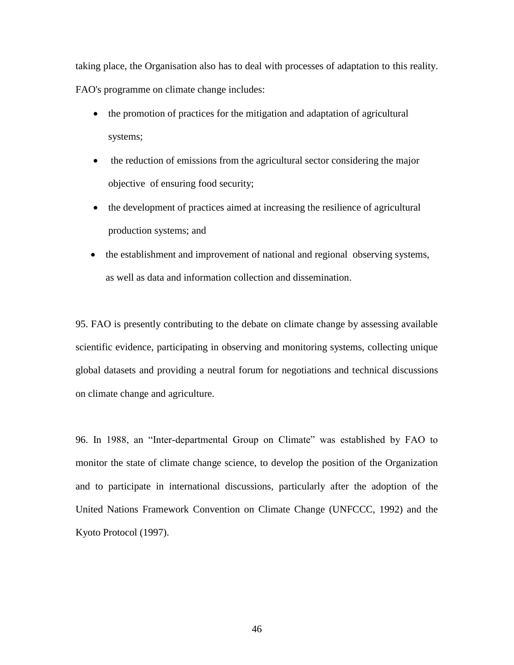taking place, the Organisation also has to deal with processes of adaptation to this reality. FAO's programme on climate change includes:

- the promotion of practices for the mitigation and adaptation of agricultural systems;
- the reduction of emissions from the agricultural sector considering the major objective of ensuring food security;
- the development of practices aimed at increasing the resilience of agricultural production systems; and
- the establishment and improvement of national and regional observing systems, as well as data and information collection and dissemination.

95. FAO is presently contributing to the debate on climate change by assessing available scientific evidence, participating in observing and monitoring systems, collecting unique global datasets and providing a neutral forum for negotiations and technical discussions on climate change and agriculture.

96. In 1988, an "Inter-departmental Group on Climate" was established by FAO to monitor the state of climate change science, to develop the position of the Organization and to participate in international discussions, particularly after the adoption of the United Nations Framework Convention on Climate Change (UNFCCC, 1992) and the Kyoto Protocol (1997).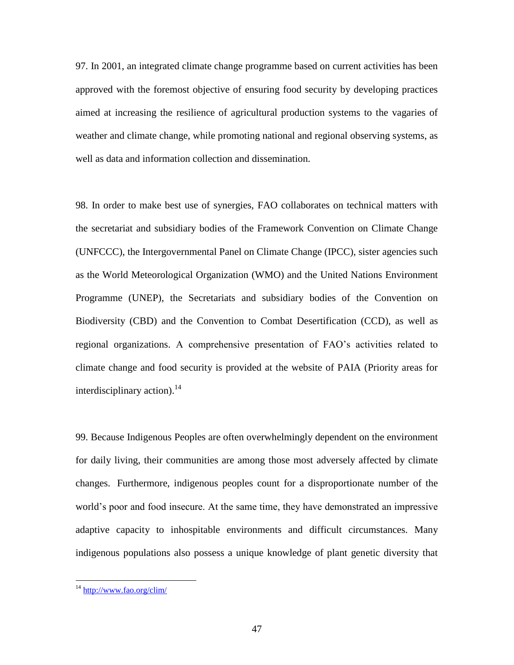97. In 2001, an integrated climate change programme based on current activities has been approved with the foremost objective of ensuring food security by developing practices aimed at increasing the resilience of agricultural production systems to the vagaries of weather and climate change, while promoting national and regional observing systems, as well as data and information collection and dissemination.

98. In order to make best use of synergies, FAO collaborates on technical matters with the secretariat and subsidiary bodies of the Framework Convention on Climate Change (UNFCCC), the Intergovernmental Panel on Climate Change (IPCC), sister agencies such as the World Meteorological Organization (WMO) and the United Nations Environment Programme (UNEP), the Secretariats and subsidiary bodies of the Convention on Biodiversity (CBD) and the Convention to Combat Desertification (CCD), as well as regional organizations. A comprehensive presentation of FAO's activities related to climate change and food security is provided at the website of PAIA (Priority areas for interdisciplinary action). 14

99. Because Indigenous Peoples are often overwhelmingly dependent on the environment for daily living, their communities are among those most adversely affected by climate changes. Furthermore, indigenous peoples count for a disproportionate number of the world's poor and food insecure. At the same time, they have demonstrated an impressive adaptive capacity to inhospitable environments and difficult circumstances. Many indigenous populations also possess a unique knowledge of plant genetic diversity that

<sup>&</sup>lt;sup>14</sup> <http://www.fao.org/clim/>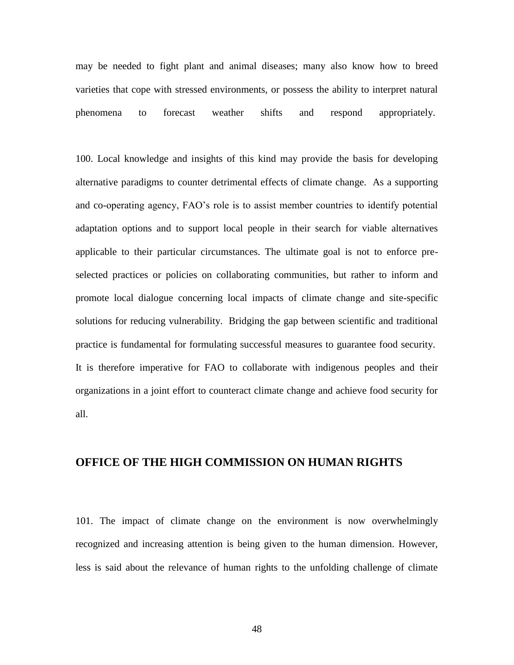may be needed to fight plant and animal diseases; many also know how to breed varieties that cope with stressed environments, or possess the ability to interpret natural phenomena to forecast weather shifts and respond appropriately.

100. Local knowledge and insights of this kind may provide the basis for developing alternative paradigms to counter detrimental effects of climate change. As a supporting and co-operating agency, FAO's role is to assist member countries to identify potential adaptation options and to support local people in their search for viable alternatives applicable to their particular circumstances. The ultimate goal is not to enforce preselected practices or policies on collaborating communities, but rather to inform and promote local dialogue concerning local impacts of climate change and site-specific solutions for reducing vulnerability. Bridging the gap between scientific and traditional practice is fundamental for formulating successful measures to guarantee food security. It is therefore imperative for FAO to collaborate with indigenous peoples and their organizations in a joint effort to counteract climate change and achieve food security for all.

## **OFFICE OF THE HIGH COMMISSION ON HUMAN RIGHTS**

101. The impact of climate change on the environment is now overwhelmingly recognized and increasing attention is being given to the human dimension. However, less is said about the relevance of human rights to the unfolding challenge of climate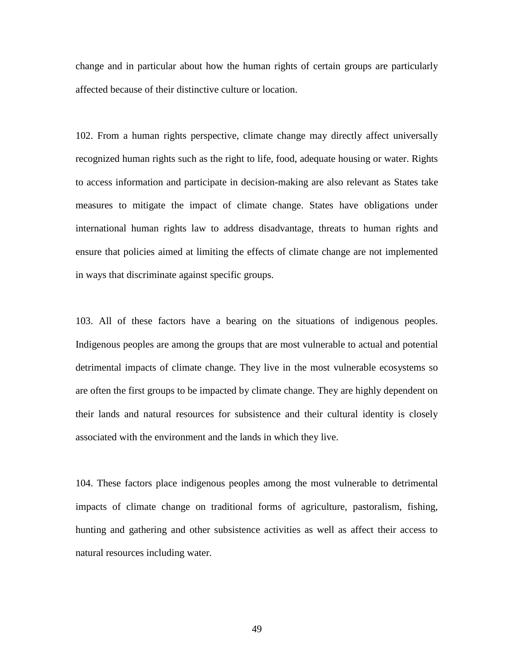change and in particular about how the human rights of certain groups are particularly affected because of their distinctive culture or location.

102. From a human rights perspective, climate change may directly affect universally recognized human rights such as the right to life, food, adequate housing or water. Rights to access information and participate in decision-making are also relevant as States take measures to mitigate the impact of climate change. States have obligations under international human rights law to address disadvantage, threats to human rights and ensure that policies aimed at limiting the effects of climate change are not implemented in ways that discriminate against specific groups.

103. All of these factors have a bearing on the situations of indigenous peoples. Indigenous peoples are among the groups that are most vulnerable to actual and potential detrimental impacts of climate change. They live in the most vulnerable ecosystems so are often the first groups to be impacted by climate change. They are highly dependent on their lands and natural resources for subsistence and their cultural identity is closely associated with the environment and the lands in which they live.

104. These factors place indigenous peoples among the most vulnerable to detrimental impacts of climate change on traditional forms of agriculture, pastoralism, fishing, hunting and gathering and other subsistence activities as well as affect their access to natural resources including water.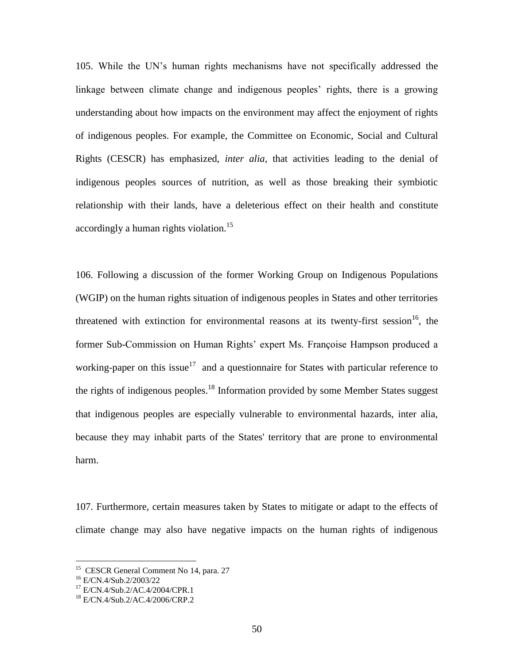105. While the UN's human rights mechanisms have not specifically addressed the linkage between climate change and indigenous peoples' rights, there is a growing understanding about how impacts on the environment may affect the enjoyment of rights of indigenous peoples. For example, the Committee on Economic, Social and Cultural Rights (CESCR) has emphasized, *inter alia*, that activities leading to the denial of indigenous peoples sources of nutrition, as well as those breaking their symbiotic relationship with their lands, have a deleterious effect on their health and constitute accordingly a human rights violation.<sup>15</sup>

106. Following a discussion of the former Working Group on Indigenous Populations (WGIP) on the human rights situation of indigenous peoples in States and other territories threatened with extinction for environmental reasons at its twenty-first session  $16$ , the former Sub-Commission on Human Rights' expert Ms. Françoise Hampson produced a working-paper on this issue<sup>17</sup> and a questionnaire for States with particular reference to the rights of indigenous peoples.<sup>18</sup> Information provided by some Member States suggest that indigenous peoples are especially vulnerable to environmental hazards, inter alia, because they may inhabit parts of the States' territory that are prone to environmental harm.

107. Furthermore, certain measures taken by States to mitigate or adapt to the effects of climate change may also have negative impacts on the human rights of indigenous

 15 CESCR General Comment No 14, para. 27

<sup>16</sup> E/CN.4/Sub.2/2003/22

<sup>17</sup> E/CN.4/Sub.2/AC.4/2004/CPR.1

<sup>18</sup> E/CN.4/Sub.2/AC.4/2006/CRP.2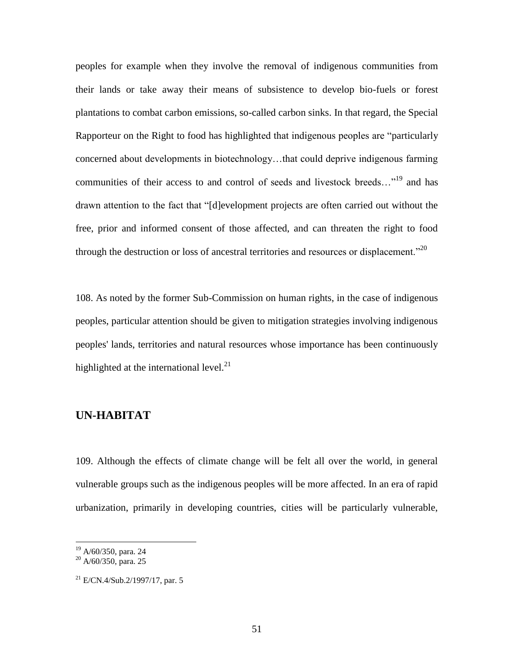peoples for example when they involve the removal of indigenous communities from their lands or take away their means of subsistence to develop bio-fuels or forest plantations to combat carbon emissions, so-called carbon sinks. In that regard, the Special Rapporteur on the Right to food has highlighted that indigenous peoples are "particularly concerned about developments in biotechnology…that could deprive indigenous farming communities of their access to and control of seeds and livestock breeds..."<sup>19</sup> and has drawn attention to the fact that "[d]evelopment projects are often carried out without the free, prior and informed consent of those affected, and can threaten the right to food through the destruction or loss of ancestral territories and resources or displacement."<sup>20</sup>

108. As noted by the former Sub-Commission on human rights, in the case of indigenous peoples, particular attention should be given to mitigation strategies involving indigenous peoples' lands, territories and natural resources whose importance has been continuously highlighted at the international level. $^{21}$ 

### **UN-HABITAT**

109. Although the effects of climate change will be felt all over the world, in general vulnerable groups such as the indigenous peoples will be more affected. In an era of rapid urbanization, primarily in developing countries, cities will be particularly vulnerable,

<sup>&</sup>lt;sup>19</sup> A/60/350, para. 24

<sup>&</sup>lt;sup>20</sup> A/60/350, para. 25

 $^{21}$  E/CN.4/Sub.2/1997/17, par. 5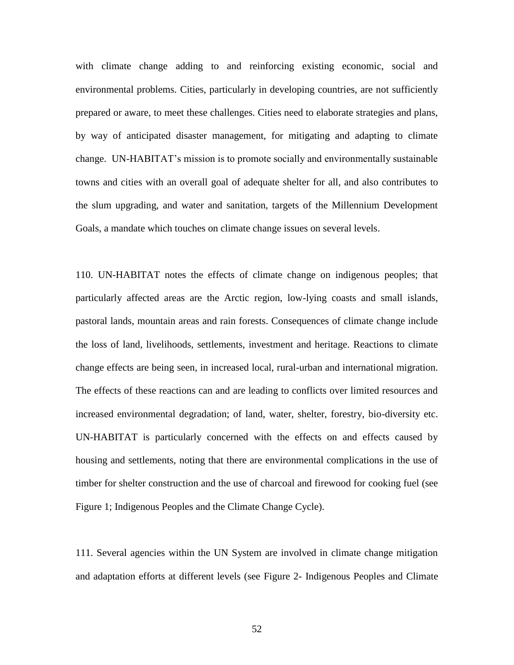with climate change adding to and reinforcing existing economic, social and environmental problems. Cities, particularly in developing countries, are not sufficiently prepared or aware, to meet these challenges. Cities need to elaborate strategies and plans, by way of anticipated disaster management, for mitigating and adapting to climate change. UN-HABITAT's mission is to promote socially and environmentally sustainable towns and cities with an overall goal of adequate shelter for all, and also contributes to the slum upgrading, and water and sanitation, targets of the Millennium Development Goals, a mandate which touches on climate change issues on several levels.

110. UN-HABITAT notes the effects of climate change on indigenous peoples; that particularly affected areas are the Arctic region, low-lying coasts and small islands, pastoral lands, mountain areas and rain forests. Consequences of climate change include the loss of land, livelihoods, settlements, investment and heritage. Reactions to climate change effects are being seen, in increased local, rural-urban and international migration. The effects of these reactions can and are leading to conflicts over limited resources and increased environmental degradation; of land, water, shelter, forestry, bio-diversity etc. UN-HABITAT is particularly concerned with the effects on and effects caused by housing and settlements, noting that there are environmental complications in the use of timber for shelter construction and the use of charcoal and firewood for cooking fuel (see Figure 1; Indigenous Peoples and the Climate Change Cycle).

111. Several agencies within the UN System are involved in climate change mitigation and adaptation efforts at different levels (see Figure 2- Indigenous Peoples and Climate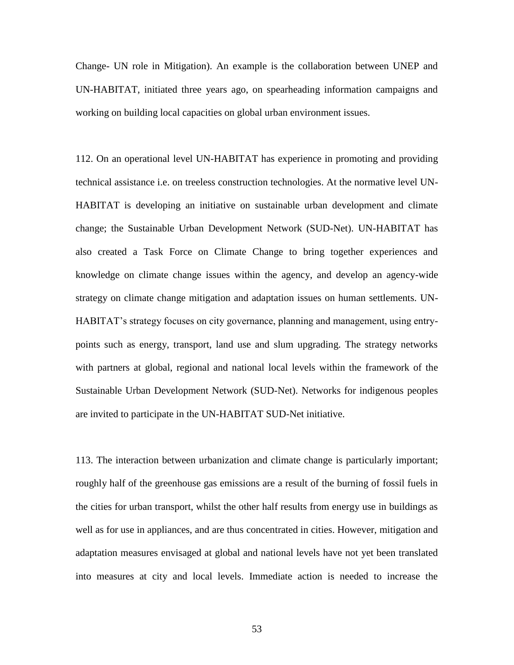Change- UN role in Mitigation). An example is the collaboration between UNEP and UN-HABITAT, initiated three years ago, on spearheading information campaigns and working on building local capacities on global urban environment issues.

112. On an operational level UN-HABITAT has experience in promoting and providing technical assistance i.e. on treeless construction technologies. At the normative level UN-HABITAT is developing an initiative on sustainable urban development and climate change; the Sustainable Urban Development Network (SUD-Net). UN-HABITAT has also created a Task Force on Climate Change to bring together experiences and knowledge on climate change issues within the agency, and develop an agency-wide strategy on climate change mitigation and adaptation issues on human settlements. UN-HABITAT's strategy focuses on city governance, planning and management, using entrypoints such as energy, transport, land use and slum upgrading. The strategy networks with partners at global, regional and national local levels within the framework of the Sustainable Urban Development Network (SUD-Net). Networks for indigenous peoples are invited to participate in the UN-HABITAT SUD-Net initiative.

113. The interaction between urbanization and climate change is particularly important; roughly half of the greenhouse gas emissions are a result of the burning of fossil fuels in the cities for urban transport, whilst the other half results from energy use in buildings as well as for use in appliances, and are thus concentrated in cities. However, mitigation and adaptation measures envisaged at global and national levels have not yet been translated into measures at city and local levels. Immediate action is needed to increase the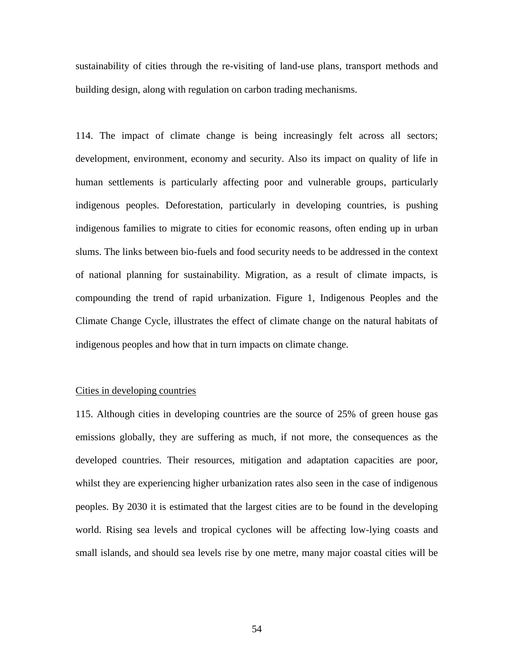sustainability of cities through the re-visiting of land-use plans, transport methods and building design, along with regulation on carbon trading mechanisms.

114. The impact of climate change is being increasingly felt across all sectors; development, environment, economy and security. Also its impact on quality of life in human settlements is particularly affecting poor and vulnerable groups, particularly indigenous peoples. Deforestation, particularly in developing countries, is pushing indigenous families to migrate to cities for economic reasons, often ending up in urban slums. The links between bio-fuels and food security needs to be addressed in the context of national planning for sustainability. Migration, as a result of climate impacts, is compounding the trend of rapid urbanization. Figure 1, Indigenous Peoples and the Climate Change Cycle, illustrates the effect of climate change on the natural habitats of indigenous peoples and how that in turn impacts on climate change.

#### Cities in developing countries

115. Although cities in developing countries are the source of 25% of green house gas emissions globally, they are suffering as much, if not more, the consequences as the developed countries. Their resources, mitigation and adaptation capacities are poor, whilst they are experiencing higher urbanization rates also seen in the case of indigenous peoples. By 2030 it is estimated that the largest cities are to be found in the developing world. Rising sea levels and tropical cyclones will be affecting low-lying coasts and small islands, and should sea levels rise by one metre, many major coastal cities will be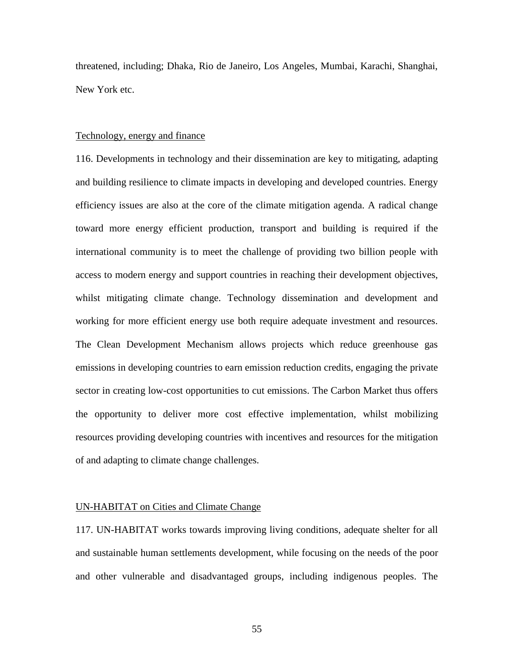threatened, including; Dhaka, Rio de Janeiro, Los Angeles, Mumbai, Karachi, Shanghai, New York etc.

#### Technology, energy and finance

116. Developments in technology and their dissemination are key to mitigating, adapting and building resilience to climate impacts in developing and developed countries. Energy efficiency issues are also at the core of the climate mitigation agenda. A radical change toward more energy efficient production, transport and building is required if the international community is to meet the challenge of providing two billion people with access to modern energy and support countries in reaching their development objectives, whilst mitigating climate change. Technology dissemination and development and working for more efficient energy use both require adequate investment and resources. The Clean Development Mechanism allows projects which reduce greenhouse gas emissions in developing countries to earn emission reduction credits, engaging the private sector in creating low-cost opportunities to cut emissions. The Carbon Market thus offers the opportunity to deliver more cost effective implementation, whilst mobilizing resources providing developing countries with incentives and resources for the mitigation of and adapting to climate change challenges.

#### UN-HABITAT on Cities and Climate Change

117. UN-HABITAT works towards improving living conditions, adequate shelter for all and sustainable human settlements development, while focusing on the needs of the poor and other vulnerable and disadvantaged groups, including indigenous peoples. The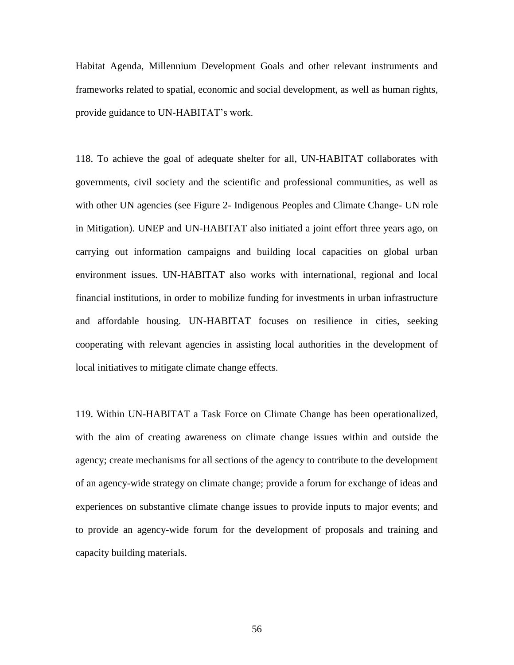Habitat Agenda, Millennium Development Goals and other relevant instruments and frameworks related to spatial, economic and social development, as well as human rights, provide guidance to UN-HABITAT's work.

118. To achieve the goal of adequate shelter for all, UN-HABITAT collaborates with governments, civil society and the scientific and professional communities, as well as with other UN agencies (see Figure 2- Indigenous Peoples and Climate Change- UN role in Mitigation). UNEP and UN-HABITAT also initiated a joint effort three years ago, on carrying out information campaigns and building local capacities on global urban environment issues. UN-HABITAT also works with international, regional and local financial institutions, in order to mobilize funding for investments in urban infrastructure and affordable housing. UN-HABITAT focuses on resilience in cities, seeking cooperating with relevant agencies in assisting local authorities in the development of local initiatives to mitigate climate change effects.

119. Within UN-HABITAT a Task Force on Climate Change has been operationalized, with the aim of creating awareness on climate change issues within and outside the agency; create mechanisms for all sections of the agency to contribute to the development of an agency-wide strategy on climate change; provide a forum for exchange of ideas and experiences on substantive climate change issues to provide inputs to major events; and to provide an agency-wide forum for the development of proposals and training and capacity building materials.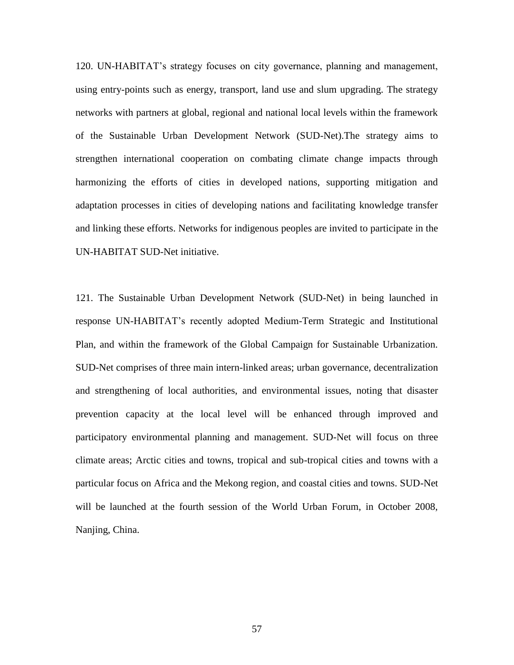120. UN-HABITAT's strategy focuses on city governance, planning and management, using entry-points such as energy, transport, land use and slum upgrading. The strategy networks with partners at global, regional and national local levels within the framework of the Sustainable Urban Development Network (SUD-Net).The strategy aims to strengthen international cooperation on combating climate change impacts through harmonizing the efforts of cities in developed nations, supporting mitigation and adaptation processes in cities of developing nations and facilitating knowledge transfer and linking these efforts. Networks for indigenous peoples are invited to participate in the UN-HABITAT SUD-Net initiative.

121. The Sustainable Urban Development Network (SUD-Net) in being launched in response UN-HABITAT's recently adopted Medium-Term Strategic and Institutional Plan, and within the framework of the Global Campaign for Sustainable Urbanization. SUD-Net comprises of three main intern-linked areas; urban governance, decentralization and strengthening of local authorities, and environmental issues, noting that disaster prevention capacity at the local level will be enhanced through improved and participatory environmental planning and management. SUD-Net will focus on three climate areas; Arctic cities and towns, tropical and sub-tropical cities and towns with a particular focus on Africa and the Mekong region, and coastal cities and towns. SUD-Net will be launched at the fourth session of the World Urban Forum, in October 2008, Nanjing, China.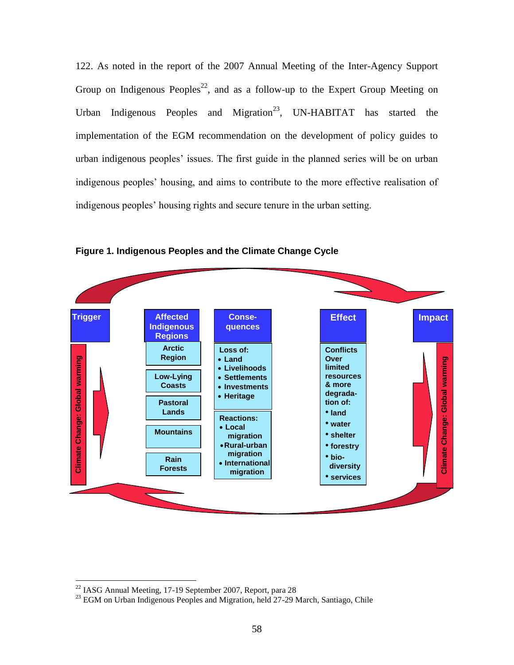122. As noted in the report of the 2007 Annual Meeting of the Inter-Agency Support Group on Indigenous Peoples<sup>22</sup>, and as a follow-up to the Expert Group Meeting on Urban Indigenous Peoples and Migration<sup>23</sup>, UN-HABITAT has started the implementation of the EGM recommendation on the development of policy guides to urban indigenous peoples' issues. The first guide in the planned series will be on urban indigenous peoples' housing, and aims to contribute to the more effective realisation of indigenous peoples' housing rights and secure tenure in the urban setting.



**Figure 1. Indigenous Peoples and the Climate Change Cycle**

 $22$  IASG Annual Meeting, 17-19 September 2007, Report, para 28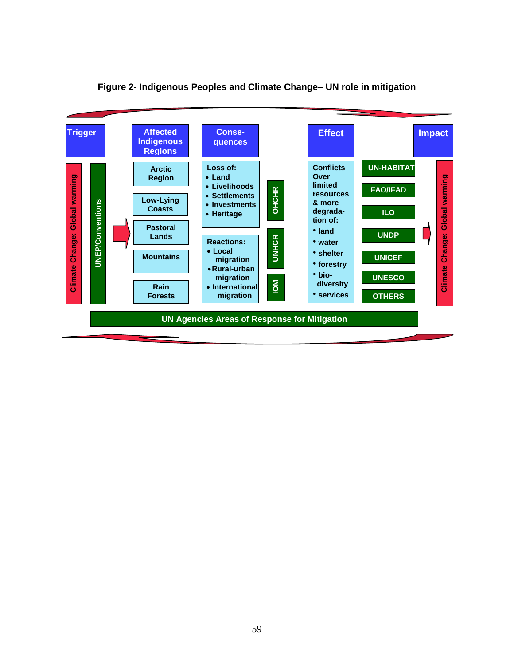

#### **Figure 2- Indigenous Peoples and Climate Change– UN role in mitigation**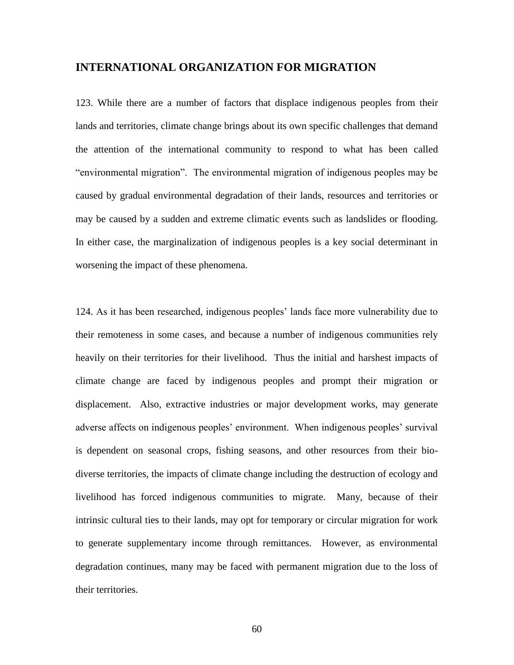#### **INTERNATIONAL ORGANIZATION FOR MIGRATION**

123. While there are a number of factors that displace indigenous peoples from their lands and territories, climate change brings about its own specific challenges that demand the attention of the international community to respond to what has been called "environmental migration". The environmental migration of indigenous peoples may be caused by gradual environmental degradation of their lands, resources and territories or may be caused by a sudden and extreme climatic events such as landslides or flooding. In either case, the marginalization of indigenous peoples is a key social determinant in worsening the impact of these phenomena.

124. As it has been researched, indigenous peoples' lands face more vulnerability due to their remoteness in some cases, and because a number of indigenous communities rely heavily on their territories for their livelihood. Thus the initial and harshest impacts of climate change are faced by indigenous peoples and prompt their migration or displacement. Also, extractive industries or major development works, may generate adverse affects on indigenous peoples' environment. When indigenous peoples' survival is dependent on seasonal crops, fishing seasons, and other resources from their biodiverse territories, the impacts of climate change including the destruction of ecology and livelihood has forced indigenous communities to migrate. Many, because of their intrinsic cultural ties to their lands, may opt for temporary or circular migration for work to generate supplementary income through remittances. However, as environmental degradation continues, many may be faced with permanent migration due to the loss of their territories.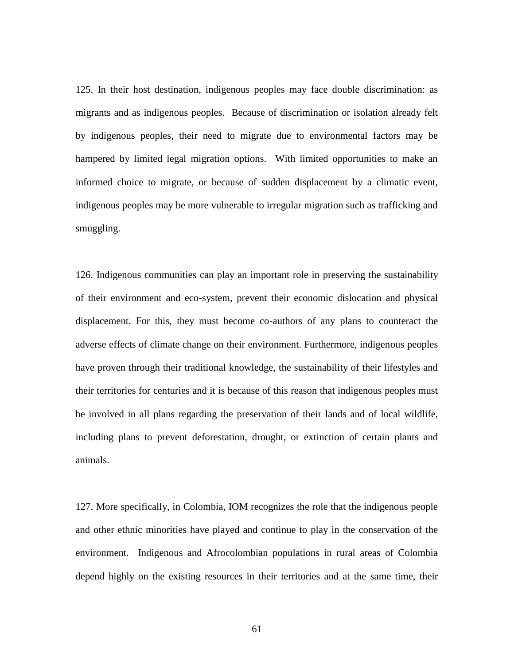125. In their host destination, indigenous peoples may face double discrimination: as migrants and as indigenous peoples. Because of discrimination or isolation already felt by indigenous peoples, their need to migrate due to environmental factors may be hampered by limited legal migration options. With limited opportunities to make an informed choice to migrate, or because of sudden displacement by a climatic event, indigenous peoples may be more vulnerable to irregular migration such as trafficking and smuggling.

126. Indigenous communities can play an important role in preserving the sustainability of their environment and eco-system, prevent their economic dislocation and physical displacement. For this, they must become co-authors of any plans to counteract the adverse effects of climate change on their environment. Furthermore, indigenous peoples have proven through their traditional knowledge, the sustainability of their lifestyles and their territories for centuries and it is because of this reason that indigenous peoples must be involved in all plans regarding the preservation of their lands and of local wildlife, including plans to prevent deforestation, drought, or extinction of certain plants and animals.

127. More specifically, in Colombia, IOM recognizes the role that the indigenous people and other ethnic minorities have played and continue to play in the conservation of the environment. Indigenous and Afrocolombian populations in rural areas of Colombia depend highly on the existing resources in their territories and at the same time, their